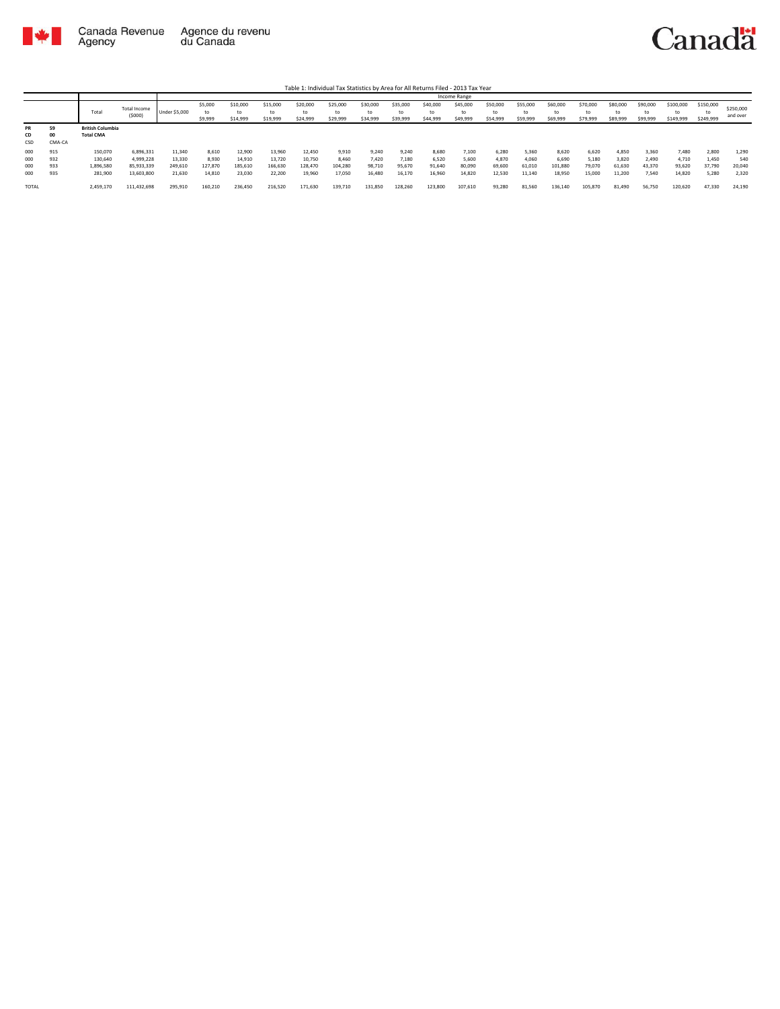

|                          |                          |                                             |                                                    |                                       |                                     |                                       |                                       |                                       |                                     |                                    |                                    |                                    | Income Range                       |                                    |                                    |                                     |                                    |                                    |                                   |                                    |                                   |                                 |
|--------------------------|--------------------------|---------------------------------------------|----------------------------------------------------|---------------------------------------|-------------------------------------|---------------------------------------|---------------------------------------|---------------------------------------|-------------------------------------|------------------------------------|------------------------------------|------------------------------------|------------------------------------|------------------------------------|------------------------------------|-------------------------------------|------------------------------------|------------------------------------|-----------------------------------|------------------------------------|-----------------------------------|---------------------------------|
|                          |                          | Total                                       | Total Income<br>(5000)                             | Under \$5,000                         | \$5,000<br>to<br>\$9,999            | \$10,000<br>\$14,999                  | \$15,000<br>to<br>\$19,999            | \$20,000<br>to<br>\$24,999            | \$25,000<br>to<br>\$29,999          | \$30,000<br>to<br>\$34,999         | \$35,000<br>to<br>\$39,999         | \$40,000<br>\$44,999               | \$45,000<br>\$49,999               | \$50,000<br>to<br>\$54,999         | \$55,000<br>to<br>\$59,999         | \$60,000<br>to<br>\$69,999          | \$70,000<br>to<br>\$79,999         | \$80,000<br>to<br>\$89,999         | \$90,000<br>to<br>\$99,999        | \$100,000<br>to<br>\$149,999       | \$150,000<br>\$249,999            | \$250,000<br>and over           |
| PR<br>CD<br>CSD          | 59<br>00<br>CMA-CA       | <b>British Columbia</b><br><b>Total CMA</b> |                                                    |                                       |                                     |                                       |                                       |                                       |                                     |                                    |                                    |                                    |                                    |                                    |                                    |                                     |                                    |                                    |                                   |                                    |                                   |                                 |
| 000<br>000<br>000<br>000 | 915<br>932<br>933<br>935 | 150,070<br>130,640<br>1,896,580<br>281,900  | 6,896,331<br>4,999,228<br>85,933,339<br>13,603,800 | 11,340<br>13,330<br>249,610<br>21.630 | 8,610<br>8.930<br>127.870<br>14.810 | 12,900<br>14,910<br>185,610<br>23.030 | 13,960<br>13.720<br>166,630<br>22,200 | 12,450<br>10.750<br>128,470<br>19.960 | 9,910<br>8.460<br>104.280<br>17.050 | 9,240<br>7.420<br>98,710<br>16,480 | 9,240<br>7.180<br>95.670<br>16.170 | 8,680<br>6,520<br>91,640<br>16,960 | 7,100<br>5,600<br>80.090<br>14,820 | 6,280<br>4.870<br>69,600<br>12.530 | 5,360<br>4,060<br>61,010<br>11.140 | 8,620<br>6.690<br>101.880<br>18.950 | 6,620<br>5,180<br>79,070<br>15,000 | 4,850<br>3.820<br>61.630<br>11.200 | 3,360<br>2.490<br>43,370<br>7,540 | 7,480<br>4.710<br>93.620<br>14.820 | 2,800<br>1,450<br>37,790<br>5.280 | 1,290<br>540<br>20,040<br>2,320 |
| <b>TOTAL</b>             |                          | 2,459,170                                   | 111,432,698                                        | 295,910                               | 160,210                             | 236,450                               | 216,520                               | 171,630                               | 139,710                             | 131,850                            | 128,260                            | 123,800                            | 107,610                            | 93,280                             | 81,560                             | 136,140                             | 105,870                            | 81,490                             | 56,750                            | 120,620                            | 47,330                            | 24,190                          |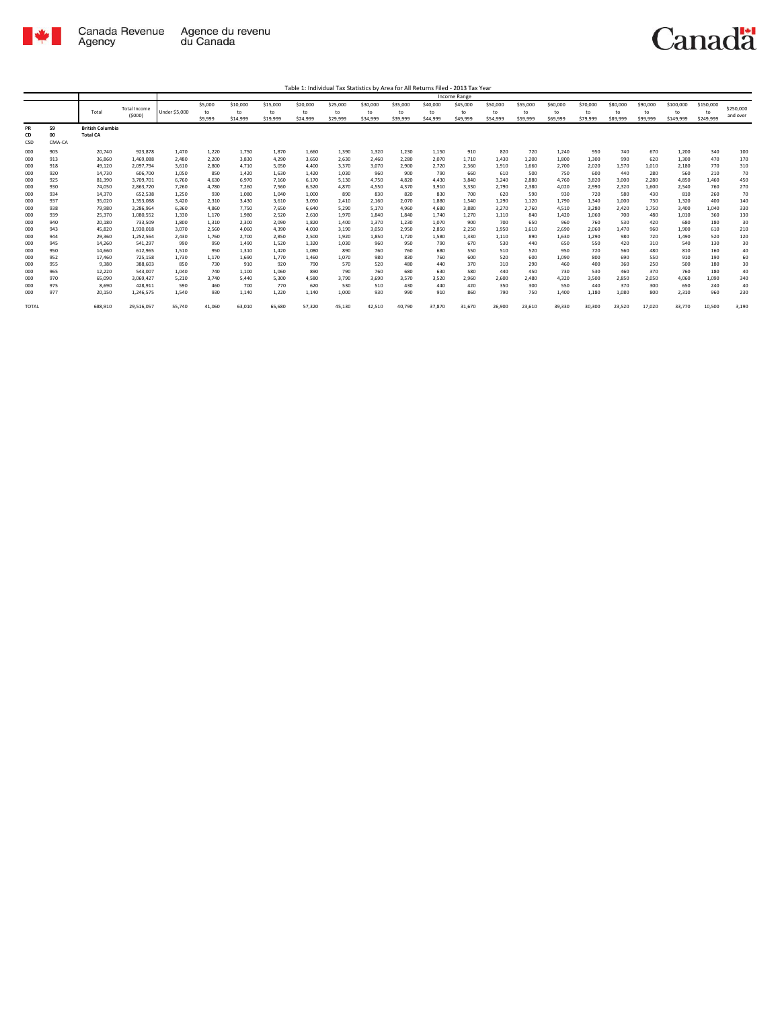

|                 |                    |                                            |                        |                      |                |                |                |                |                |                |                |                | <b>Income Range</b> |              |              |              |              |              |            |              |            |            |
|-----------------|--------------------|--------------------------------------------|------------------------|----------------------|----------------|----------------|----------------|----------------|----------------|----------------|----------------|----------------|---------------------|--------------|--------------|--------------|--------------|--------------|------------|--------------|------------|------------|
|                 |                    |                                            | <b>Total Income</b>    |                      | \$5,000        | \$10,000       | \$15,000       | \$20,000       | \$25,000       | \$30,000       | \$35,000       | \$40,000       | \$45,000            | \$50,000     | \$55,000     | \$60,000     | \$70,000     | \$80,000     | \$90,000   | \$100,000    | \$150,000  | \$250,000  |
|                 |                    | Total                                      | (5000)                 | <b>Under \$5,000</b> | to             | to             | to             | to             | to             | to             | to             | to             | to                  | to           | to           | to           | to           | to           | to         | to           | to         | and over   |
|                 |                    |                                            |                        |                      | \$9,999        | \$14,999       | \$19,999       | \$24,999       | \$29,999       | \$34,999       | \$39,999       | \$44,999       | \$49,999            | \$54,999     | \$59,999     | \$69,999     | \$79,999     | \$89,999     | \$99,999   | \$149,999    | \$249,999  |            |
| PR<br>CD<br>CSD | 59<br>00<br>CMA-CA | <b>British Columbia</b><br><b>Total CA</b> |                        |                      |                |                |                |                |                |                |                |                |                     |              |              |              |              |              |            |              |            |            |
| 000             | 905                | 20.740                                     | 923,878                | 1,470                | 1,220          | 1,750          | 1,870          | 1,660          | 1,390          | 1,320          | 1,230          | 1,150          | 910                 | 820          | 720          | 1,240        | 950          | 740          | 670        | 1,200        | 340        | 100        |
| 000             | 913                | 36,860                                     | 1,469,088              | 2,480                | 2,200          | 3,830          | 4,290          | 3,650          | 2,630          | 2,460          | 2,280          | 2,070          | 1,710               | 1,430        | 1,200        | 1,800        | 1,300        | 990          | 620        | 1,300        | 470        | 170        |
| 000             | 918                | 49,120                                     | 2,097,794              | 3,610                | 2,800          | 4,710          | 5,050          | 4,400          | 3,370          | 3,070          | 2,900          | 2,720          | 2,360               | 1,910        | 1,660        | 2,700        | 2,020        | 1,570        | 1,010      | 2,180        | 770        | 310        |
| 000             | 920                | 14.730                                     | 606,700                | 1,050                | 850            | 1,420          | 1,630          | 1,420          | 1,030          | 960            | 900            | 790            | 660                 | 610          | 500          | 750          | 600          | 440          | 280        | 560          | 210        | 70         |
| 000             | 925                | 81,390                                     | 3,709,701              | 6,760                | 4.630          | 6,970          | 7,160          | 6,170          | 5,130          | 4.750          | 4.820          | 4.430          | 3,840               | 3,240        | 2.880        | 4.760        | 3,820        | 3,000        | 2,280      | 4.850        | 1.460      | 450        |
| 000             | 930                | 74,050                                     | 2,863,720              | 7,260                | 4,780          | 7,260          | 7,560          | 6,520          | 4,870          | 4,550          | 4.370          | 3,910          | 3,330               | 2,790        | 2,380        | 4,020        | 2,990        | 2,320        | 1,600      | 2,540        | 760        | 270        |
| 000             | 934                | 14,370                                     | 652,538                | 1,250                | 930            | 1,080          | 1,040          | 1,000          | 890            | 830            | 820            | 830            | 700                 | 620          | 590          | 930          | 720          | 580          | 430        | 810          | 260        | 70         |
| 000             | 937                | 35,020                                     | 1,353,088              | 3.420                | 2,310          | 3,430          | 3.610          | 3,050          | 2,410          | 2,160          | 2,070          | 1,880          | 1.540               | 1,290        | 1.120        | 1,790        | 1,340        | 1,000        | 730        | 1,320        | 400        | 140        |
| 000             | 938                | 79,980                                     | 3,286,964              | 6,360                | 4,860          | 7,750          | 7,650          | 6,640          | 5,290          | 5,170          | 4,960          | 4,680          | 3,880               | 3,270        | 2,760        | 4,510        | 3,280        | 2.420        | 1,750      | 3,400        | 1,040      | 330        |
| 000             | 939                | 25,370                                     | 1,080,552              | 1,330                | 1,170          | 1,980          | 2,520          | 2,610          | 1,970          | 1.840          | 1,840          | 1,740          | 1,270               | 1,110        | 840          | 1,420        | 1,060        | 700          | 480        | 1,010        | 360        | 130        |
| 000             | 940<br>943         | 20,180<br>45.820                           | 733,509                | 1.800<br>3.070       | 1,310          | 2,300          | 2,090<br>4.390 | 1,820          | 1,400          | 1,370<br>3.050 | 1,230<br>2.950 | 1,070<br>2.850 | 900<br>2.250        | 700<br>1.950 | 650<br>1.610 | 960<br>2.690 | 760<br>2.060 | 530<br>1.470 | 420<br>960 | 680<br>1.900 | 180        | 30         |
| 000<br>000      | 944                | 29,360                                     | 1,930,018<br>1,252,564 | 2,430                | 2,560<br>1,760 | 4,060<br>2,700 | 2,850          | 4,010<br>2,500 | 3,190<br>1,920 | 1,850          | 1,720          | 1,580          | 1,330               | 1,110        | 890          | 1,630        | 1,290        | 980          | 720        | 1,490        | 610<br>520 | 210<br>120 |
| 000             | 945                | 14,260                                     | 541,297                | 990                  | 950            | 1,490          | 1,520          | 1,320          | 1,030          | 960            | 950            | 790            | 670                 | 530          | 440          | 650          | 550          | 420          | 310        | 540          | 130        | 30         |
| 000             | 950                | 14,660                                     | 612,965                | 1.510                | 950            | 1,310          | 1.420          | 1.080          | 890            | 760            | 760            | 680            | 550                 | 510          | 520          | 950          | 720          | 560          | 480        | 810          | 160        | 40         |
| 000             | 952                | 17,460                                     | 725,158                | 1,730                | 1,170          | 1,690          | 1,770          | 1,460          | 1,070          | 980            | 830            | 760            | 600                 | 520          | 600          | 1,090        | 800          | 690          | 550        | 910          | 190        | 60         |
| 000             | 955                | 9,380                                      | 388,603                | 850                  | 730            | 910            | 920            | 790            | 570            | 520            | 480            | 440            | 370                 | 310          | 290          | 460          | 400          | 360          | 250        | 500          | 180        | 30         |
| 000             | 965                | 12.220                                     | 543,007                | 1.040                | 740            | 1,100          | 1.060          | 890            | 790            | 760            | 680            | 630            | 580                 | 440          | 450          | 730          | 530          | 460          | 370        | 760          | 180        | 40         |
| 000             | 970                | 65,090                                     | 3,069,427              | 5.210                | 3.740          | 5.440          | 5.300          | 4.580          | 3,790          | 3,690          | 3.570          | 3,520          | 2,960               | 2,600        | 2.480        | 4.320        | 3,500        | 2.850        | 2,050      | 4.060        | 1.090      | 340        |
| 000             | 975                | 8,690                                      | 428,911                | 590                  | 460            | 700            | 770            | 620            | 530            | 510            | 430            | 440            | 420                 | 350          | 300          | 550          | 440          | 370          | 300        | 650          | 240        | 40         |
| 000             | 977                | 20,150                                     | 1,246,575              | 1,540                | 930            | 1,140          | 1,220          | 1,140          | 1,000          | 930            | 990            | 910            | 860                 | 790          | 750          | 1,400        | 1,180        | 1,080        | 800        | 2,310        | 960        | 230        |
| <b>TOTAL</b>    |                    | 688,910                                    | 29,516,057             | 55,740               | 41,060         | 63,010         | 65,680         | 57,320         | 45,130         | 42,510         | 40.790         | 37,870         | 31,670              | 26,900       | 23,610       | 39,330       | 30,300       | 23,520       | 17,020     | 33,770       | 10,500     | 3,190      |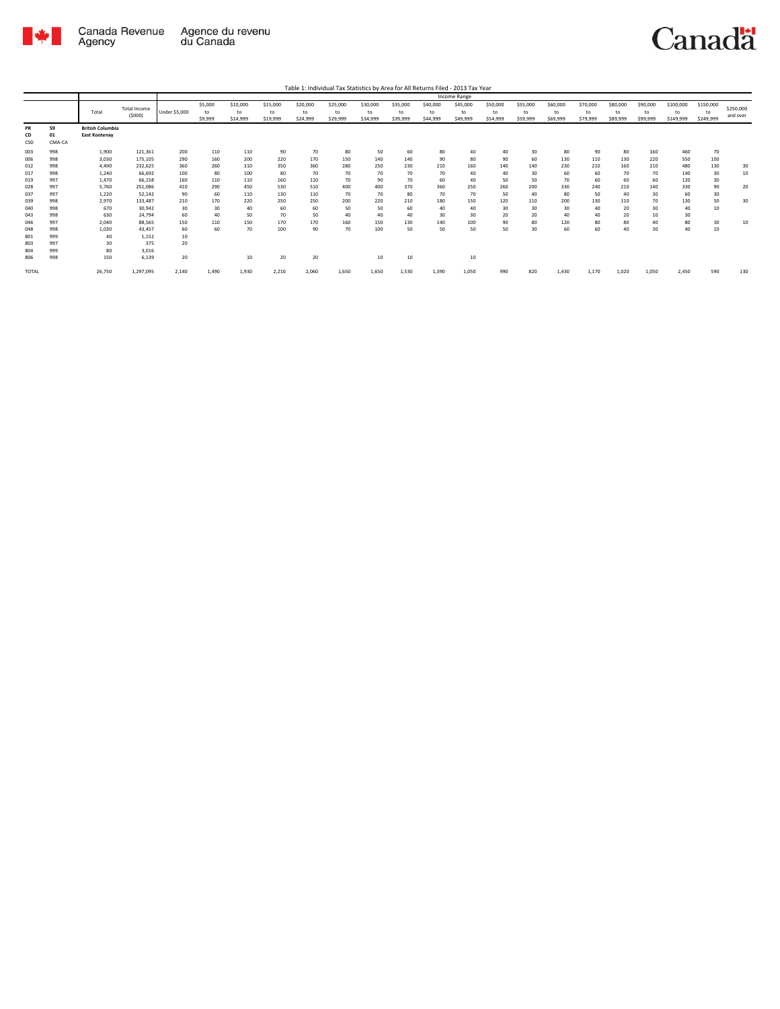

**TOTAL** 

26,750

1.297.095

 $2.140$ 

1,490

1.930

 $2.210$ 

2.060

1,650

Canadä

590

130

|                 |                    |                                                 |                               |                      |                          |                            |                            |                            | Table 1: Individual Tax Statistics by Area for All Returns Filed - 2013 Tax Year |                            |                            |                            |                            |                            |                            |                            |                            |                            |                            |                              |                              |                       |
|-----------------|--------------------|-------------------------------------------------|-------------------------------|----------------------|--------------------------|----------------------------|----------------------------|----------------------------|----------------------------------------------------------------------------------|----------------------------|----------------------------|----------------------------|----------------------------|----------------------------|----------------------------|----------------------------|----------------------------|----------------------------|----------------------------|------------------------------|------------------------------|-----------------------|
|                 |                    |                                                 |                               |                      |                          |                            |                            |                            |                                                                                  |                            |                            |                            | <b>Income Range</b>        |                            |                            |                            |                            |                            |                            |                              |                              |                       |
|                 |                    | Total                                           | <b>Total Income</b><br>(5000) | <b>Under \$5,000</b> | \$5,000<br>to<br>\$9,999 | \$10,000<br>to<br>\$14,999 | \$15,000<br>to<br>\$19,999 | \$20,000<br>to<br>\$24,999 | \$25,000<br>to<br>\$29,999                                                       | \$30,000<br>to<br>\$34,999 | \$35,000<br>to<br>\$39,999 | \$40,000<br>to<br>\$44,999 | \$45,000<br>to<br>\$49,999 | \$50,000<br>to<br>\$54,999 | \$55,000<br>to<br>\$59,999 | \$60,000<br>to<br>\$69,999 | \$70,000<br>to<br>\$79,999 | \$80,000<br>to<br>\$89,999 | \$90,000<br>to<br>\$99,999 | \$100,000<br>to<br>\$149,999 | \$150,000<br>to<br>\$249,999 | \$250,000<br>and over |
| PR<br>CD<br>CSD | 59<br>01<br>CMA-CA | <b>British Columbia</b><br><b>East Kootenav</b> |                               |                      |                          |                            |                            |                            |                                                                                  |                            |                            |                            |                            |                            |                            |                            |                            |                            |                            |                              |                              |                       |
| 003             | 998                | 1,900                                           | 121.361                       | 200                  | 110                      | 110                        | 90                         | 70                         | 80                                                                               | 50                         | 60                         | 80                         | 40                         | 40                         | 30                         | 80                         | 90                         | 80                         | 160                        | 460                          | 70                           |                       |
| 006             | 998                | 3.030                                           | 175.105                       | 290                  | 160                      | 200                        | 220                        | 170                        | 150                                                                              | 140                        | 140                        | 90                         | 80                         | 90                         | 60                         | 130                        | 110                        | 130                        | 220                        | 550                          | 100                          |                       |
| 012             | 998                | 4.490                                           | 232.625                       | 360                  | 260                      | 310                        | 350                        | 360                        | 280                                                                              | 250                        | 230                        | 210                        | 160                        | 140                        | 140                        | 230                        | 210                        | 160                        | 210                        | 480                          | 130                          | 30                    |
| 017             | 998                | 1.240                                           | 66.692                        | 100                  | 80                       | 100                        | 80                         | 70                         | 70                                                                               | 70                         | 70                         | 70                         | 40                         | 40                         | 30                         | 60                         | 60                         | 70                         | 70                         | 140                          | 30                           | 10                    |
| 019             | 997                | 1.470                                           | 66.158                        | 160                  | 110                      | 110                        | 160                        | 110                        | 70                                                                               | 90                         | 70                         | 60                         | 40                         | 50                         | 50                         | 70                         | 60                         | 60                         | 60                         | 120                          | 30                           |                       |
| 028             | 997                | 5.760                                           | 251,086                       | 410                  | 290                      | 450                        | 530                        | 510                        | 400                                                                              | 400                        | 370                        | 360                        | 250                        | 260                        | 200                        | 330                        | 240                        | 210                        | 140                        | 330                          | 90                           | 20                    |
| 037             | 997                | 1.220                                           | 52.142                        | 90                   | 60                       | 110                        | 130                        | 110                        | 70                                                                               | 70                         | 80                         | 70                         | 70                         | 50                         | 40                         | 80                         | 50                         | 40                         | 30                         | 60                           | 30                           |                       |
| 039             | 998                | 2.970                                           | 133.487                       | 210                  | 170                      | 220                        | 250                        | 250                        | 200                                                                              | 220                        | 210                        | 180                        | 150                        | 120                        | 110                        | 200                        | 130                        | 110                        | 70                         | 130                          | 50                           | 30                    |
| 040             | 998                | 670                                             | 30.942                        | 30                   | 30                       | 40                         | 60                         | 60                         | 50                                                                               | 50                         | 60                         | 40                         | 40                         | 30                         | 30                         | 30                         | 40                         | 20                         | 30                         | 40                           | 10                           |                       |
| 043             | 998                | 630                                             | 24.794                        | 60                   | 40                       | 50                         | 70                         | 50                         | 40                                                                               | 40                         | 40                         | 30                         | 30                         | 20                         | 20                         | 40                         | 40                         | 20                         | 10                         | 30                           |                              |                       |
| 046             | 997                | 2.040                                           | 88.565                        | 150                  | 110                      | 150                        | 170                        | 170                        | 160                                                                              | 150                        | 130                        | 140                        | 100                        | 90                         | 80                         | 120                        | 80                         | 80                         | 40                         | 80                           | 30                           | 10                    |
| 048             | 998                | 1,030                                           | 43.457                        | 60                   | 60                       | 70                         | 100                        | 90                         | 70                                                                               | 100                        | 50                         | 50                         | 50                         | 50                         | 30                         | 60                         | 60                         | 40                         | 30                         | 40                           | 10                           |                       |
| 801             | 999                | 40                                              | 1.152                         | 10                   |                          |                            |                            |                            |                                                                                  |                            |                            |                            |                            |                            |                            |                            |                            |                            |                            |                              |                              |                       |
| 803             | 997                | 30                                              | 375                           | 20 <sub>0</sub>      |                          |                            |                            |                            |                                                                                  |                            |                            |                            |                            |                            |                            |                            |                            |                            |                            |                              |                              |                       |
| 804             | 999                | 80                                              | 3,016                         |                      |                          |                            |                            |                            |                                                                                  |                            |                            |                            |                            |                            |                            |                            |                            |                            |                            |                              |                              |                       |
| 806             | 998                | 150                                             | 6,139                         | 20                   |                          | 10                         | 20                         | 20                         |                                                                                  | 10                         | 10                         |                            | 10                         |                            |                            |                            |                            |                            |                            |                              |                              |                       |

1.650

1,530

1.390

 $1,050$ 

990

820

 $1,430$ 

 $1,170$ 

1,020

1.050

2.450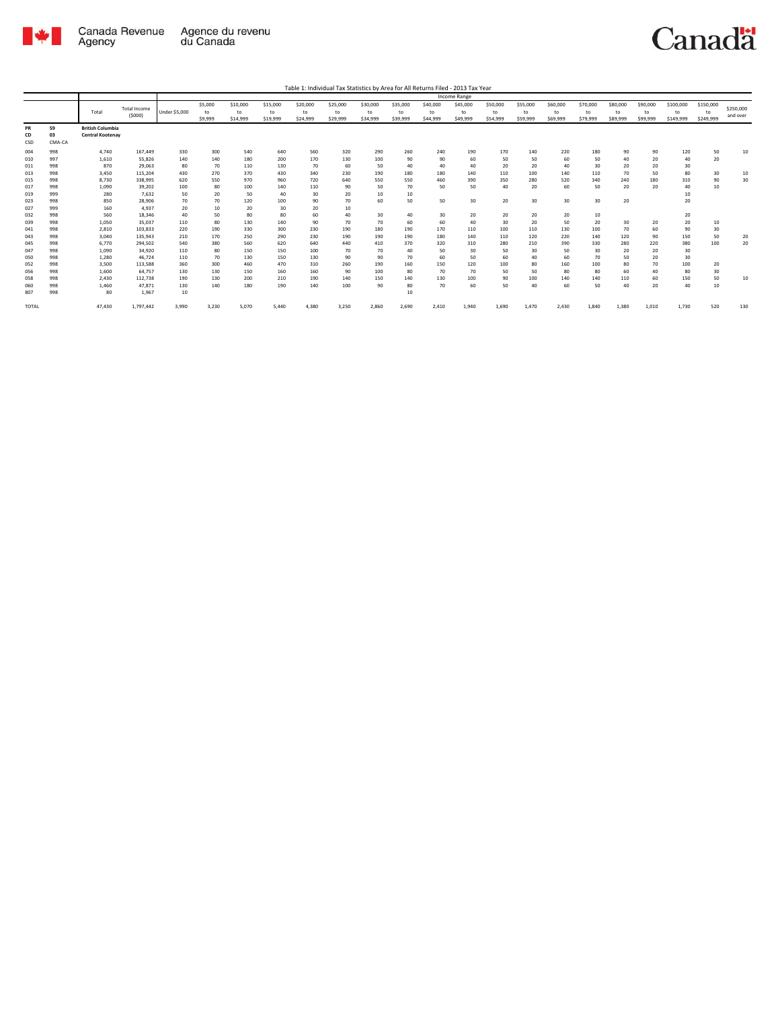

|                 |                    |                                                    |                               |               |               |                |                |                |                |                |                |                | Income Range   |                |                |                |                |                |                |                 |                 |                       |
|-----------------|--------------------|----------------------------------------------------|-------------------------------|---------------|---------------|----------------|----------------|----------------|----------------|----------------|----------------|----------------|----------------|----------------|----------------|----------------|----------------|----------------|----------------|-----------------|-----------------|-----------------------|
|                 |                    | Total                                              | <b>Total Income</b><br>(5000) | Under \$5,000 | \$5,000<br>to | \$10,000<br>to | \$15,000<br>to | \$20,000<br>to | \$25,000<br>to | \$30,000<br>to | \$35,000<br>to | \$40,000<br>to | \$45,000<br>to | \$50,000<br>to | \$55,000<br>to | \$60,000<br>to | \$70,000<br>to | \$80,000<br>to | \$90,000<br>to | \$100,000<br>to | \$150,000<br>to | \$250,000<br>and over |
|                 |                    |                                                    |                               |               | \$9,999       | \$14,999       | \$19,999       | \$24,999       | \$29,999       | \$34,999       | \$39,999       | \$44,999       | \$49,999       | \$54,999       | \$59,999       | \$69,999       | \$79,999       | \$89,999       | \$99,999       | \$149,999       | \$249,999       |                       |
| PR<br>CD<br>CSD | 59<br>03<br>CMA-CA | <b>British Columbia</b><br><b>Central Kootenay</b> |                               |               |               |                |                |                |                |                |                |                |                |                |                |                |                |                |                |                 |                 |                       |
| 004             | 998                | 4,740                                              | 167,449                       | 330           | 300           | 540            | 640            | 560            | 320            | 290            | 260            | 240            | 190            | 170            | 140            | 220            | 180            | 90             | 90             | 120             | 50              | 10                    |
| 010             | 997                | 1,610                                              | 55,826                        | 140           | 140           | 180            | 200            | 170            | 130            | 100            | 90             | 90             | 60             | 50             | 50             | 60             | 50             | 40             | 20             | 40              | 20              |                       |
| 011             | 998                | 870                                                | 29,063                        | 80            | 70            | 110            | 130            | 70             | 60             | 50             | 40             | 40             | 40             | 20             | 20             | 40             | 30             | 20             | 20             | 30              |                 |                       |
| 013             | 998                | 3,450                                              | 115,204                       | 430           | 270           | 370            | 430            | 340            | 230            | 190            | 180            | 180            | 140            | 110            | 100            | 140            | 110            | 70             | 50             | 80              | 30              | 10                    |
| 015             | 998                | 8,730                                              | 338,995                       | 620           | 550           | 970            | 960            | 720            | 640            | 550            | 550            | 460            | 390            | 350            | 280            | 520            | 340            | 240            | 180            | 310             | 90              | 30                    |
| 017             | 998                | 1,090                                              | 39,202                        | 100           | 80            | 100            | 140            | 110            | 90             | 50             | 70             | 50             | 50             | 40             | 20             | 60             | 50             | 20             | 20             | 40              | 10              |                       |
| 019             | 999                | 280                                                | 7,632                         | 50            | 20            | 50             | 40             | 30             | 20             | 10             | 10             |                |                |                |                |                |                |                |                | 10              |                 |                       |
| 023             | 998                | 850                                                | 28,906                        | 70            | 70            | 120            | 100            | 90             | 70             | 60             | 50             | 50             | 30             | 20             | 30             | 30             | 30             | 20             |                | 20              |                 |                       |
| 027             | 999                | 160                                                | 4,937                         | 20            | 10            | 20             | 30             | 20             | 10             |                |                |                |                |                |                |                |                |                |                |                 |                 |                       |
| 032             | 998                | 560                                                | 18,346                        | 40            | 50            | 80             | 80             | 60             | 40             | 30             | 40             | 30             | 20             | 20             | 20             | 20             | 10             |                |                | 20              |                 |                       |
| 039             | 998                | 1,050                                              | 35,037                        | 110           | 80            | 130            | 140            | 90             | 70             | 70             | 60             | 60             | 40             | 30             | 20             | 50             | 20             | 30             | 20             | 20              | 10              |                       |
| 041             | 998                | 2,810                                              | 103,833                       | 220           | 190           | 330            | 300            | 230            | 190            | 180            | 190            | 170            | 110            | 100            | 110            | 130            | 100            | 70             | 60             | 90              | 30              |                       |
| 043             | 998                | 3.040                                              | 135.943                       | 210           | 170           | 250            | 290            | 230            | 190            | 190            | 190            | 180            | 140            | 110            | 120            | 220            | 140            | 120            | 90             | 150             | 50              | 20                    |
| 045             | 998                | 6.770                                              | 294,502                       | 540           | 380           | 560            | 620            | 640            | 440            | 410            | 370            | 320            | 310            | 280            | 210            | 390            | 330            | 280            | 220            | 380             | 100             | 20                    |
| 047             | 998                | 1.090                                              | 34.920                        | 110           | 80            | 150            | 150            | 100            | 70             | 70             | 40             | 50             | 30             | 50             | 30             | 50             | 30             | 20             | 20             | 30              |                 |                       |
| 050             | 998                | 1,280                                              | 46,724                        | 110           | 70            | 130            | 150            | 130            | 90             | 90             | 70             | 60             | 50             | 60             | 40             | 60             | 70             | 50             | 20             | 30              |                 |                       |
| 052             | 998                | 3,500                                              | 113,588                       | 360           | 300           | 460            | 470            | 310            | 260            | 190            | 160            | 150            | 120            | 100            | 80             | 160            | 100            | 80             | 70             | 100             | 20              |                       |
| 056             | 998                | 1,600                                              | 64,757                        | 130           | 130           | 150            | 160            | 160            | 90             | 100            | 80             | 70             | 70             | 50             | 50             | 80             | 80             | 60             | 40             | 80              | 30              |                       |
| 058             | 998                | 2,430                                              | 112,738                       | 190           | 130           | 200            | 210            | 190            | 140            | 150            | 140            | 130            | 100            | 90             | 100            | 140            | 140            | 110            | 60             | 150             | 50              | 10                    |
| 060             | 998                | 1,460                                              | 47.871                        | 130           | 140           | 180            | 190            | 140            | 100            | 90             | 80             | 70             | 60             | 50             | 40             | 60             | 50             | 40             | 20             | 40              | 10              |                       |
| 807             | 998                | 80                                                 | 1,967                         | 10            |               |                |                |                |                |                | 10             |                |                |                |                |                |                |                |                |                 |                 |                       |
| <b>TOTAL</b>    |                    | 47,430                                             | 1,797,442                     | 3,990         | 3,230         | 5,070          | 5,440          | 4,380          | 3,250          | 2,860          | 2,690          | 2,410          | 1,940          | 1,690          | 1,470          | 2,430          | 1,840          | 1,380          | 1,010          | 1,730           | 520             | 130                   |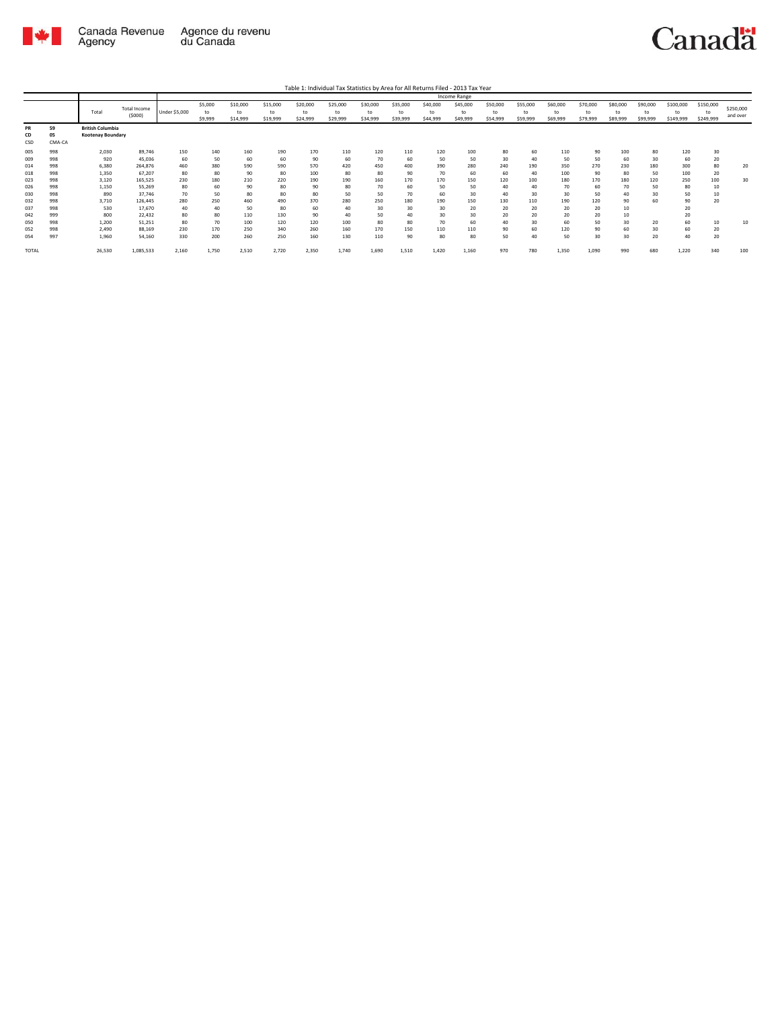

Table 1: Individual Tax Statistics by Area for All Returns Filed - 2013 Tax Year

|              |        |                         |              |                      |         |          |          |          |          |          |          |          | <b>Income Range</b> |          |          |          |          |          |          |           |           |           |
|--------------|--------|-------------------------|--------------|----------------------|---------|----------|----------|----------|----------|----------|----------|----------|---------------------|----------|----------|----------|----------|----------|----------|-----------|-----------|-----------|
|              |        |                         | Total Income |                      | \$5,000 | \$10,000 | \$15,000 | \$20,000 | \$25,000 | \$30,000 | \$35,000 | \$40,000 | \$45,000            | \$50,000 | \$55,000 | \$60,000 | \$70,000 | \$80,000 | \$90,000 | \$100,000 | \$150,000 | \$250,000 |
|              |        | Total                   | (5000)       | <b>Under \$5,000</b> | to      | to       | to       | to       | to       | to       | to       | to       | to                  | to       | to       | to       | to       | to       | to       | to        | to        | and over  |
|              |        |                         |              |                      | \$9,999 | \$14,999 | \$19,999 | \$24,999 | \$29,999 | \$34,999 | \$39,999 | \$44,999 | \$49,999            | \$54,999 | \$59,999 | \$69,999 | \$79,999 | \$89,999 | \$99,999 | \$149,999 | \$249,999 |           |
| PR           | 59     | <b>British Columbia</b> |              |                      |         |          |          |          |          |          |          |          |                     |          |          |          |          |          |          |           |           |           |
| CD           | 05     | Kootenay Boundary       |              |                      |         |          |          |          |          |          |          |          |                     |          |          |          |          |          |          |           |           |           |
| CSD          | CMA-CA |                         |              |                      |         |          |          |          |          |          |          |          |                     |          |          |          |          |          |          |           |           |           |
| 005          | 998    | 2,030                   | 89,746       | 150                  | 140     | 160      | 190      | 170      | 110      | 120      | 110      | 120      | 100                 | 80       | 60       | 110      | 90       | 100      | 80       | 120       | 30        |           |
| 009          | 998    | 920                     | 45,036       | 60                   | 50      | 60       | 60       | 90       | 60       | 70       | 60       | 50       | 50                  | 30       | 40       | 50       | 50       | 60       | 30       | 60        | 20        |           |
| 014          | 998    | 6,380                   | 264,876      | 460                  | 380     | 590      | 590      | 570      | 420      | 450      | 400      | 390      | 280                 | 240      | 190      | 350      | 270      | 230      | 180      | 300       | 80        | 20        |
| 018          | 998    | 1,350                   | 67,207       | 80                   | 80      | 90       | 80       | 100      | 80       | 80       | 90       | 70       | 60                  | 60       | 40       | 100      | 90       | 80       | 50       | 100       | 20        |           |
| 023          | 998    | 3.120                   | 165,525      | 230                  | 180     | 210      | 220      | 190      | 190      | 160      | 170      | 170      | 150                 | 120      | 100      | 180      | 170      | 180      | 120      | 250       | 100       | 30        |
| 026          | 998    | 1,150                   | 55,269       | 80                   | 60      | 90       | 80       | 90       | 80       | 70       | 60       | 50       | 50                  | 40       | 40       | 70       | 60       | 70       | 50       | 80        | 10        |           |
| 030          | 998    | 890                     | 37,746       | 70                   | 50      | 80       | 80       | 80       | 50       | 50       | 70       | 60       | 30                  | 40       | 30       | 30       | 50       | 40       | 30       | 50        | 10        |           |
| 032          | 998    | 3,710                   | 126,445      | 280                  | 250     | 460      | 490      | 370      | 280      | 250      | 180      | 190      | 150                 | 130      | 110      | 190      | 120      | 90       | 60       | 90        | 20        |           |
| 037          | 998    | 530                     | 17,670       | 40                   | 40      | 50       | 80       | 60       | 40       | 30       | 30       | 30       | 20                  | 20       | 20       | 20       | 20       | 10       |          | 20        |           |           |
| 042          | 999    | 800                     | 22,432       | 80                   | 80      | 110      | 130      | 90       | 40       | 50       | 40       | 30       | 30                  | 20       | 20       | 20       | 20       | 10       |          | 20        |           |           |
| 050          | 998    | 1,200                   | 51,251       | 80                   | 70      | 100      | 120      | 120      | 100      | 80       | 80       | 70       | 60                  | 40       | 30       | 60       | 50       | 30       | 20       | 60        | 10        | 10        |
| 052          | 998    | 2,490                   | 88,169       | 230                  | 170     | 250      | 340      | 260      | 160      | 170      | 150      | 110      | 110                 | 90       | 60       | 120      | 90       | 60       | 30       | 60        | 20        |           |
| 054          | 997    | 1.960                   | 54,160       | 330                  | 200     | 260      | 250      | 160      | 130      | 110      | 90       | 80       | 80                  | 50       | 40       | 50       | 30       | 30       | 20       | 40        | 20        |           |
| <b>TOTAL</b> |        | 26,530                  | 1,085,533    | 2,160                | 1,750   | 2,510    | 2,720    | 2,350    | 1,740    | 1.690    | 1,510    | 1,420    | 1,160               | 970      | 780      | 1,350    | 1,090    | 990      | 680      | 1,220     | 340       | 100       |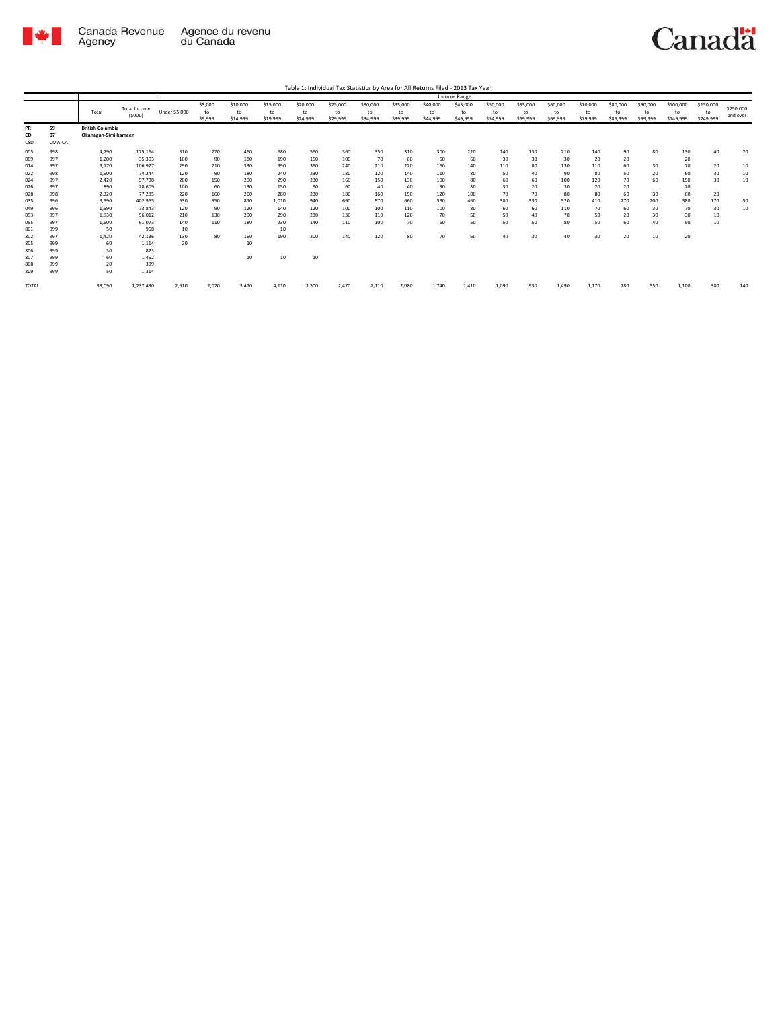

|                 |                    |                                                 |                               |                      |               |                |                |                |                |                |                |                | Income Range   |                |                |                |                |                |                |                 |                 |                       |
|-----------------|--------------------|-------------------------------------------------|-------------------------------|----------------------|---------------|----------------|----------------|----------------|----------------|----------------|----------------|----------------|----------------|----------------|----------------|----------------|----------------|----------------|----------------|-----------------|-----------------|-----------------------|
|                 |                    | Total                                           | <b>Total Income</b><br>(5000) | <b>Under \$5,000</b> | \$5,000<br>to | \$10,000<br>to | \$15,000<br>to | \$20,000<br>to | \$25,000<br>to | \$30,000<br>to | \$35,000<br>to | \$40,000<br>to | \$45,000<br>to | \$50,000<br>to | \$55,000<br>to | \$60,000<br>to | \$70,000<br>to | \$80,000<br>to | \$90,000<br>to | \$100,000<br>to | \$150,000<br>to | \$250,000<br>and over |
|                 |                    |                                                 |                               |                      | \$9,999       | \$14,999       | \$19,999       | \$24,999       | \$29,999       | \$34,999       | \$39,999       | \$44,999       | \$49,999       | \$54,999       | \$59,999       | \$69,999       | \$79,999       | \$89,999       | \$99,999       | \$149,999       | \$249,999       |                       |
| PR<br>CD<br>CSD | 59<br>07<br>CMA-CA | <b>British Columbia</b><br>Okanagan-Similkameen |                               |                      |               |                |                |                |                |                |                |                |                |                |                |                |                |                |                |                 |                 |                       |
| 005             | 998                | 4,790                                           | 175,164                       | 310                  | 270           | 460            | 680            | 560            | 360            | 350            | 310            | 300            | 220            | 140            | 130            | 210            | 140            | 90             | 80             | 130             | 40              | 20                    |
| 009             | 997                | 1,200                                           | 35,303                        | 100                  | 90            | 180            | 190            | 150            | 100            | 70             | 60             | 50             | 60             | 30             | 30             | 30             | 20             | 20             |                | 20              |                 |                       |
| 014             | 997                | 3.170                                           | 106.927                       | 290                  | 210           | 330            | 390            | 350            | 240            | 210            | 220            | 160            | 140            | 110            | 80             | 130            | 110            | 60             | 30             | 70              | 20              | 10                    |
| 022             | 998                | 1,900                                           | 74.244                        | 120                  | 90            | 180            | 240            | 230            | 180            | 120            | 140            | 110            | 80             | 50             | 40             | 90             | 80             | 50             | 20             | 60              | 30              | 10                    |
| 024             | 997                | 2,420                                           | 97,788                        | 200                  | 150           | 290            | 290            | 230            | 160            | 150            | 130            | 100            | 80             | 60             | 60             | 100            | 120            | 70             | 60             | 150             | 30              | 10                    |
| 026             | 997                | 890                                             | 28.609                        | 100                  | 60            | 130            | 150            | 90             | 60             | 40             | 40             | 30             | 30             | 30             | 20             | 30             | 20             | 20             |                | 20              |                 |                       |
| 028             | 998                | 2,320                                           | 77.285                        | 220                  | 160           | 260            | 280            | 230            | 180            | 160            | 150            | 120            | 100            | 70             | 70             | 80             | 80             | 60             | 30             | 60              | 20              |                       |
| 035             | 996                | 9,590                                           | 402.965                       | 630                  | 550           | 810            | 1,010          | 940            | 690            | 570            | 660            | 590            | 460            | 380            | 330            | 520            | 410            | 270            | 200            | 380             | 170             | 50                    |
| 049             | 996                | 1.590                                           | 73.843                        | 120                  | 90            | 120            | 140            | 120            | 100            | 100            | 110            | 100            | 80             | 60             | 60             | 110            | 70             | 60             | 30             | 70              | 30              | 10                    |
| 053             | 997                | 1,930                                           | 56,012                        | 210                  | 130           | 290            | 290            | 230            | 130            | 110            | 120            | 70             | 50             | 50             | 40             | 70             | 50             | 20             | 30             | 30              | 10              |                       |
| 055             | 997                | 1,600                                           | 61,073                        | 140                  | 110           | 180            | 230            | 140            | 110            | 100            | 70             | 50             | 50             | 50             | 50             | 80             | 50             | 60             | 40             | 90              | 10              |                       |
| 801             | 999                | 50                                              | 968                           | 10                   |               |                | 10             |                |                |                |                |                |                |                |                |                |                |                |                |                 |                 |                       |
| 802             | 997                | 1,420                                           | 42,136                        | 130                  | 80            | 160            | 190            | 200            | 140            | 120            | 80             | 70             | 60             | 40             | 30             | 40             | 30             | 20             | 10             | 20              |                 |                       |
| 805             | 999                | 60                                              | 1,114                         | 20                   |               | 10             |                |                |                |                |                |                |                |                |                |                |                |                |                |                 |                 |                       |
| 806             | 999                | 30                                              | 823                           |                      |               |                |                |                |                |                |                |                |                |                |                |                |                |                |                |                 |                 |                       |
| 807             | 999                | 60                                              | 1,462                         |                      |               | 10             | 10             | 10             |                |                |                |                |                |                |                |                |                |                |                |                 |                 |                       |
| 808             | 999                | 20                                              | 399                           |                      |               |                |                |                |                |                |                |                |                |                |                |                |                |                |                |                 |                 |                       |
| 809             | 999                | 50                                              | 1,314                         |                      |               |                |                |                |                |                |                |                |                |                |                |                |                |                |                |                 |                 |                       |
| <b>TOTAL</b>    |                    | 33,090                                          | 1,237,430                     | 2,610                | 2,020         | 3,410          | 4,110          | 3,500          | 2,470          | 2,110          | 2,080          | 1,740          | 1,410          | 1.090          | 930            | 1.490          | 1,170          | 780            | 550            | 1,100           | 380             | 140                   |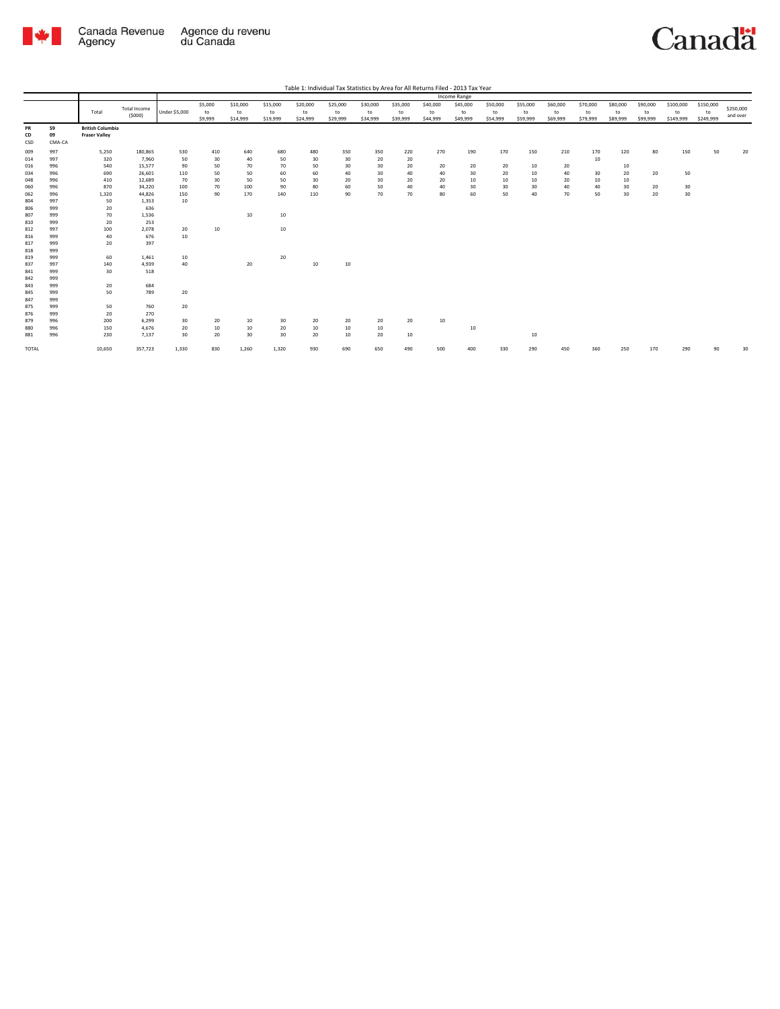

|                 |                    |                                                 |                        |                      |                          |                            |                            |                            |                            |                            |                            |                            | Income Range               |                            |                            |                            |                            |                            |                            |                              |                              |                       |
|-----------------|--------------------|-------------------------------------------------|------------------------|----------------------|--------------------------|----------------------------|----------------------------|----------------------------|----------------------------|----------------------------|----------------------------|----------------------------|----------------------------|----------------------------|----------------------------|----------------------------|----------------------------|----------------------------|----------------------------|------------------------------|------------------------------|-----------------------|
|                 |                    | Total                                           | Total Income<br>(5000) | <b>Under \$5,000</b> | \$5,000<br>to<br>\$9,999 | \$10,000<br>to<br>\$14,999 | \$15,000<br>to<br>\$19,999 | \$20,000<br>to<br>\$24,999 | \$25,000<br>to<br>\$29,999 | \$30,000<br>to<br>\$34,999 | \$35,000<br>to<br>\$39,999 | \$40,000<br>to<br>\$44,999 | \$45,000<br>to<br>\$49,999 | \$50,000<br>to<br>\$54,999 | \$55,000<br>to<br>\$59,999 | \$60,000<br>to<br>\$69,999 | \$70,000<br>to<br>\$79,999 | \$80,000<br>to<br>\$89,999 | \$90,000<br>to<br>\$99,999 | \$100,000<br>to<br>\$149,999 | \$150,000<br>to<br>\$249,999 | \$250,000<br>and over |
| PR<br>CD<br>CSD | 59<br>09<br>CMA-CA | <b>British Columbia</b><br><b>Fraser Valley</b> |                        |                      |                          |                            |                            |                            |                            |                            |                            |                            |                            |                            |                            |                            |                            |                            |                            |                              |                              |                       |
| 009             | 997                | 5,250                                           | 180,865                | 530                  | 410                      | 640                        | 680                        | 480                        | 350                        | 350                        | 220                        | 270                        | 190                        | 170                        | 150                        | 210                        | 170                        | 120                        | 80                         | 150                          | 50                           | 20                    |
| 014             | 997                | 320                                             | 7,960                  | 50                   | 30                       | 40                         | 50                         | 30                         | 30                         | 20                         | 20                         |                            |                            |                            |                            |                            | 10                         |                            |                            |                              |                              |                       |
| 016             | 996                | 540                                             | 15,577                 | 90                   | 50                       | 70                         | 70                         | 50                         | 30                         | 30                         | 20                         | 20                         | 20                         | 20                         | 10                         | 20                         |                            | 10                         |                            |                              |                              |                       |
| 034             | 996                | 690                                             | 26,601                 | 110                  | 50                       | 50                         | 60                         | 60                         | 40                         | 30                         | 40                         | 40                         | 30                         | 20                         | 10                         | 40                         | 30                         | 20                         | 20                         | 50                           |                              |                       |
| 048             | 996                | 410                                             | 12,689                 | 70                   | 30                       | 50                         | 50                         | 30                         | 20                         | 30                         | 20                         | 20                         | 10                         | 10                         | 10                         | 20                         | 10                         | 10                         |                            |                              |                              |                       |
| 060             | 996                | 870                                             | 34,220                 | 100                  | 70                       | 100                        | 90                         | 80                         | 60                         | 50                         | 40                         | 40                         | 30                         | 30                         | 30                         | 40                         | 40                         | 30                         | 20                         | 30                           |                              |                       |
| 062             | 996                | 1,320                                           | 44,826                 | 150                  | 90                       | 170                        | 140                        | 110                        | 90                         | 70                         | 70                         | 80                         | 60                         | 50                         | 40                         | 70                         | 50                         | 30                         | 20                         | 30                           |                              |                       |
| 804             | 997                | 50                                              | 1,353                  | 10                   |                          |                            |                            |                            |                            |                            |                            |                            |                            |                            |                            |                            |                            |                            |                            |                              |                              |                       |
| 806             | 999                | 20                                              | 636                    |                      |                          |                            |                            |                            |                            |                            |                            |                            |                            |                            |                            |                            |                            |                            |                            |                              |                              |                       |
| 807             | 999                | 70                                              | 1,536                  |                      |                          | 10                         | 10                         |                            |                            |                            |                            |                            |                            |                            |                            |                            |                            |                            |                            |                              |                              |                       |
| 810             | 999                | 20                                              | 253                    |                      |                          |                            |                            |                            |                            |                            |                            |                            |                            |                            |                            |                            |                            |                            |                            |                              |                              |                       |
| 812             | 997                | 100                                             | 2,078                  | 20                   | $10\,$                   |                            | 10                         |                            |                            |                            |                            |                            |                            |                            |                            |                            |                            |                            |                            |                              |                              |                       |
| 816             | 999                | 40                                              | 676                    | 10                   |                          |                            |                            |                            |                            |                            |                            |                            |                            |                            |                            |                            |                            |                            |                            |                              |                              |                       |
| 817             | 999                | 20                                              | 397                    |                      |                          |                            |                            |                            |                            |                            |                            |                            |                            |                            |                            |                            |                            |                            |                            |                              |                              |                       |
| 818             | 999                |                                                 |                        |                      |                          |                            |                            |                            |                            |                            |                            |                            |                            |                            |                            |                            |                            |                            |                            |                              |                              |                       |
| 819             | 999                | 60                                              | 1,461                  | 10                   |                          |                            | 20                         |                            |                            |                            |                            |                            |                            |                            |                            |                            |                            |                            |                            |                              |                              |                       |
| 837             | 997                | 140                                             | 4,939                  | 40                   |                          | 20                         |                            | 10                         | 10                         |                            |                            |                            |                            |                            |                            |                            |                            |                            |                            |                              |                              |                       |
| 841             | 999                | 30                                              | 518                    |                      |                          |                            |                            |                            |                            |                            |                            |                            |                            |                            |                            |                            |                            |                            |                            |                              |                              |                       |
| 842             | 999                |                                                 |                        |                      |                          |                            |                            |                            |                            |                            |                            |                            |                            |                            |                            |                            |                            |                            |                            |                              |                              |                       |
| 843             | 999                | 20                                              | 684                    |                      |                          |                            |                            |                            |                            |                            |                            |                            |                            |                            |                            |                            |                            |                            |                            |                              |                              |                       |
| 845             | 999                | 50                                              | 789                    | 20                   |                          |                            |                            |                            |                            |                            |                            |                            |                            |                            |                            |                            |                            |                            |                            |                              |                              |                       |
| 847             | 999                |                                                 |                        |                      |                          |                            |                            |                            |                            |                            |                            |                            |                            |                            |                            |                            |                            |                            |                            |                              |                              |                       |
| 875             | 999                | 50                                              | 760                    | 20                   |                          |                            |                            |                            |                            |                            |                            |                            |                            |                            |                            |                            |                            |                            |                            |                              |                              |                       |
| 876             | 999                | 20                                              | 270                    |                      |                          |                            |                            |                            |                            |                            |                            |                            |                            |                            |                            |                            |                            |                            |                            |                              |                              |                       |
| 879             | 996                | 200                                             | 6,299                  | 30                   | 20                       | 10                         | 30                         | 20                         | 20                         | 20                         | 20                         | 10                         |                            |                            |                            |                            |                            |                            |                            |                              |                              |                       |
| 880             | 996                | 150                                             | 4,676                  | 20                   | $10\,$                   | 10                         | 20                         | 10                         | 10                         | $10\,$                     |                            |                            | 10                         |                            |                            |                            |                            |                            |                            |                              |                              |                       |
| 881             | 996                | 230                                             | 7,137                  | 30                   | 20                       | 30                         | 30                         | 20                         | 10                         | 20                         | 10                         |                            |                            |                            | 10                         |                            |                            |                            |                            |                              |                              |                       |
| TOTAL           |                    | 10,650                                          | 357,723                | 1,330                | 830                      | 1,260                      | 1,320                      | 930                        | 690                        | 650                        | 490                        | 500                        | 400                        | 330                        | 290                        | 450                        | 360                        | 250                        | 170                        | 290                          | 90                           | 30                    |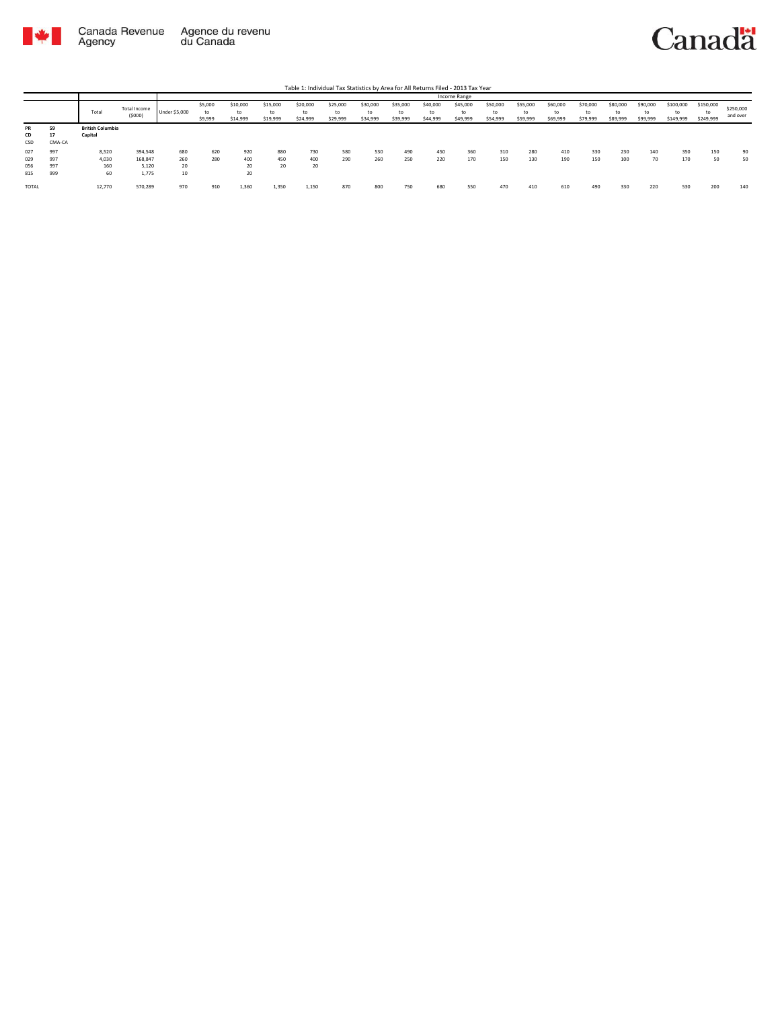

|                          |                          |                                    |                                      |                        |                    |                            |                      |                            | Table 1: Individual Tax Statistics by Area for All Returns Filed - 2013 Tax Year |                            |                            |                            |                      |                            |                            |                            |                            |                            |                            |                              |                              |                       |
|--------------------------|--------------------------|------------------------------------|--------------------------------------|------------------------|--------------------|----------------------------|----------------------|----------------------------|----------------------------------------------------------------------------------|----------------------------|----------------------------|----------------------------|----------------------|----------------------------|----------------------------|----------------------------|----------------------------|----------------------------|----------------------------|------------------------------|------------------------------|-----------------------|
|                          |                          |                                    |                                      |                        |                    |                            |                      |                            |                                                                                  |                            |                            |                            | Income Range         |                            |                            |                            |                            |                            |                            |                              |                              |                       |
|                          |                          | Total                              | Total Income<br>(5000)               | Under \$5,000          | \$5,000<br>\$9,999 | \$10,000<br>to<br>\$14,999 | \$15,000<br>\$19,999 | \$20,000<br>to<br>\$24,999 | \$25,000<br>to<br>\$29,999                                                       | \$30,000<br>to<br>\$34,999 | \$35,000<br>to<br>\$39,999 | \$40,000<br>to<br>\$44,999 | \$45,000<br>\$49,999 | \$50,000<br>to<br>\$54,999 | \$55,000<br>to<br>\$59,999 | \$60,000<br>to<br>\$69,999 | \$70,000<br>to<br>\$79,999 | \$80,000<br>to<br>\$89,999 | \$90,000<br>to<br>\$99,999 | \$100,000<br>to<br>\$149,999 | \$150,000<br>to<br>\$249,999 | \$250,000<br>and over |
| PR<br>CD<br>CSD          | 59<br>17<br>CMA-CA       | <b>British Columbia</b><br>Capital |                                      |                        |                    |                            |                      |                            |                                                                                  |                            |                            |                            |                      |                            |                            |                            |                            |                            |                            |                              |                              |                       |
| 027<br>029<br>056<br>815 | 997<br>997<br>997<br>999 | 8,520<br>4,030<br>160<br>60        | 394,548<br>168,847<br>5,120<br>1,775 | 680<br>260<br>20<br>10 | 620<br>280         | 920<br>400<br>20<br>20     | 880<br>450<br>20     | 730<br>400<br>20           | 580<br>290                                                                       | 530<br>260                 | 490<br>250                 | 450<br>220                 | 360<br>170           | 310<br>150                 | 280<br>130                 | 410<br>190                 | 330<br>150                 | 230<br>100                 | 140<br>70                  | 350<br>170                   | 150<br>50                    | 90<br>50              |
| TOTAL                    |                          | 12,770                             | 570,289                              | 970                    | 910                | 1,360                      | 1,350                | 1,150                      | 870                                                                              | 800                        | 750                        | 680                        | 550                  | 470                        | 410                        | 610                        | 490                        | 330                        | 220                        | 530                          | 200                          | 140                   |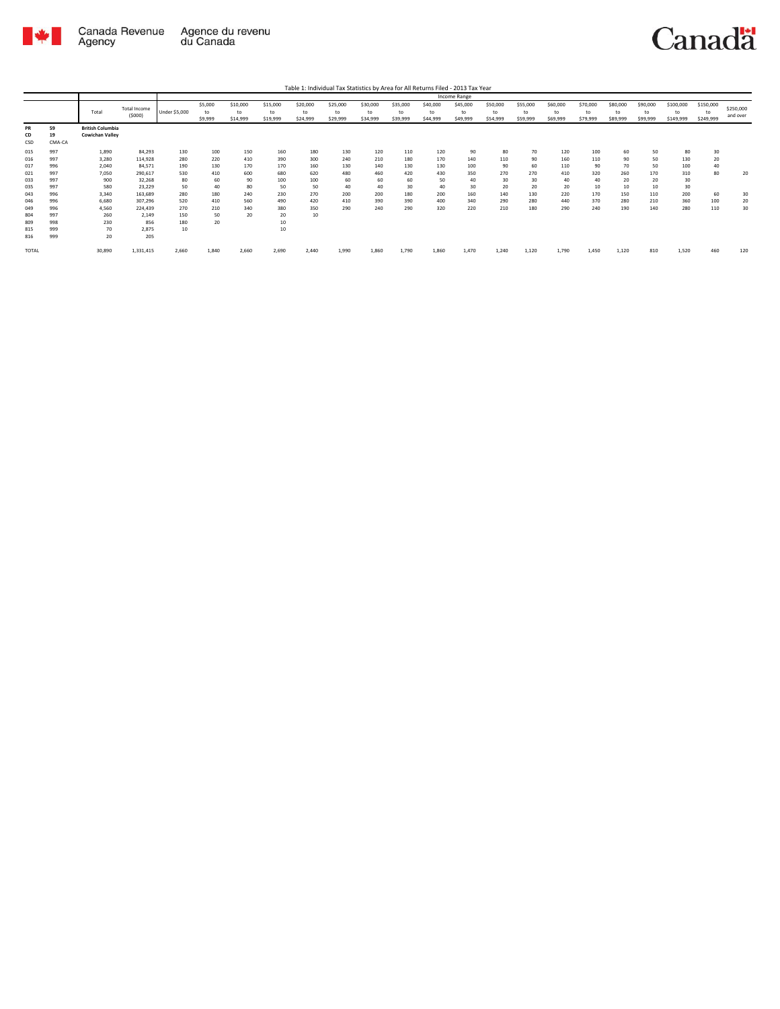

|                                 |                                        |                                             |                                                        |                                       |                               |                            |                                     |                            | Table 1: Individual Tax Statistics by Area for All Returns Filed - 2013 Tax Year |                            |                            |                            |                            |                            |                            |                            |                            |                            |                            |                              |                              |                       |
|---------------------------------|----------------------------------------|---------------------------------------------|--------------------------------------------------------|---------------------------------------|-------------------------------|----------------------------|-------------------------------------|----------------------------|----------------------------------------------------------------------------------|----------------------------|----------------------------|----------------------------|----------------------------|----------------------------|----------------------------|----------------------------|----------------------------|----------------------------|----------------------------|------------------------------|------------------------------|-----------------------|
|                                 |                                        |                                             |                                                        |                                       |                               |                            |                                     |                            |                                                                                  |                            |                            |                            | Income Range               |                            |                            |                            |                            |                            |                            |                              |                              |                       |
|                                 |                                        | Total                                       | <b>Total Income</b><br>(5000)                          | Under \$5,000                         | \$5,000<br>to<br>\$9,999      | \$10,000<br>to<br>\$14,999 | \$15,000<br>to<br>\$19,999          | \$20,000<br>to<br>\$24,999 | \$25,000<br>to<br>\$29,999                                                       | \$30,000<br>to<br>\$34,999 | \$35,000<br>to<br>\$39,999 | \$40,000<br>to<br>\$44,999 | \$45,000<br>to<br>\$49,999 | \$50,000<br>to<br>\$54,999 | \$55,000<br>to<br>\$59,999 | \$60,000<br>to<br>\$69,999 | \$70,000<br>to<br>\$79,999 | \$80,000<br>to<br>\$89,999 | \$90,000<br>to<br>\$99,999 | \$100,000<br>to<br>\$149,999 | \$150,000<br>to<br>\$249,999 | \$250,000<br>and over |
| PR<br>CD<br>CSD                 | 59<br>19<br>CMA-CA                     | <b>British Columbia</b><br>Cowichan Valley  |                                                        |                                       |                               |                            |                                     |                            |                                                                                  |                            |                            |                            |                            |                            |                            |                            |                            |                            |                            |                              |                              |                       |
| 015<br>016<br>017               | 997<br>997<br>996                      | 1,890<br>3,280<br>2.040                     | 84,293<br>114,928<br>84,571                            | 130<br>280<br>190                     | 100<br>220<br>130             | 150<br>410<br>170          | 160<br>390<br>170                   | 180<br>300<br>160          | 130<br>240<br>130                                                                | 120<br>210<br>140          | 110<br>180<br>130          | 120<br>170<br>130          | 90<br>140<br>100           | 80<br>110<br>90            | 70<br>90<br>60             | 120<br>160<br>110          | 100<br>110<br>90           | 60<br>90<br>70             | 50<br>50<br>50             | 80<br>130<br>100             | 30<br>20<br>40               |                       |
| 021<br>033<br>035               | 997<br>997<br>997                      | 7,050<br>900<br>580                         | 290,617<br>32,268<br>23,229                            | 530<br>80<br>50                       | 410<br>60<br>40               | 600<br>90<br>80            | 680<br>100<br>50                    | 620<br>100<br>50           | 480<br>60<br>40                                                                  | 460<br>60<br>40            | 420<br>60<br>30            | 430<br>50<br>40            | 350<br>40<br>30            | 270<br>30<br>20            | 270<br>30<br>20            | 410<br>40<br>20            | 320<br>40<br>10            | 260<br>20<br>10            | 170<br>20<br>10            | 310<br>30<br>30              | 80                           | 20                    |
| 043<br>046<br>049<br>804<br>809 | 996<br>996<br>996<br>997<br>998<br>999 | 3,340<br>6,680<br>4,560<br>260<br>230<br>70 | 163,689<br>307,296<br>224,439<br>2,149<br>856<br>2,875 | 280<br>520<br>270<br>150<br>180<br>10 | 180<br>410<br>210<br>50<br>20 | 240<br>560<br>340<br>20    | 230<br>490<br>380<br>20<br>10<br>10 | 270<br>420<br>350<br>10    | 200<br>410<br>290                                                                | 200<br>390<br>240          | 180<br>390<br>290          | 200<br>400<br>320          | 160<br>340<br>220          | 140<br>290<br>210          | 130<br>280<br>180          | 220<br>440<br>290          | 170<br>370<br>240          | 150<br>280<br>190          | 110<br>210<br>140          | 200<br>360<br>280            | 60<br>100<br>110             | 30<br>20<br>30        |
| 815<br>816<br>TOTAL             | 999                                    | 20<br>30,890                                | 205<br>1,331,415                                       | 2,660                                 | 1,840                         | 2,660                      | 2,690                               | 2.440                      | 1,990                                                                            | 1,860                      | 1,790                      | 1,860                      | 1,470                      | 1.240                      | 1,120                      | 1,790                      | 1,450                      | 1,120                      | 810                        | 1,520                        | 460                          | 120                   |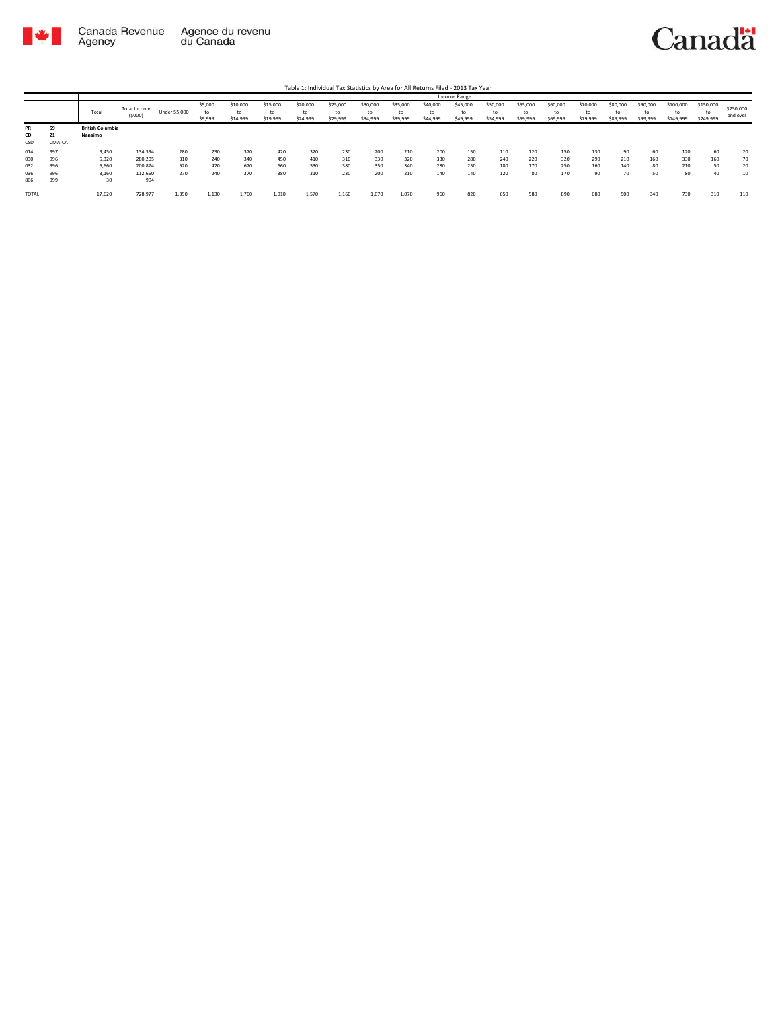

|       |        |                         |              |               |               |                |                |                |                |                |                |                | Income Range   |                |                |                |                |                |                |                 |                 |           |
|-------|--------|-------------------------|--------------|---------------|---------------|----------------|----------------|----------------|----------------|----------------|----------------|----------------|----------------|----------------|----------------|----------------|----------------|----------------|----------------|-----------------|-----------------|-----------|
|       |        | Total                   | Total Income | Under \$5,000 | \$5,000<br>to | \$10,000<br>to | \$15,000<br>to | \$20,000<br>to | \$25,000<br>to | \$30,000<br>to | \$35,000<br>to | \$40,000<br>to | \$45,000<br>to | \$50,000<br>to | \$55,000<br>to | \$60,000<br>to | \$70,000<br>to | \$80,000<br>to | \$90,000<br>to | \$100,000<br>to | \$150,000<br>to | \$250,000 |
|       |        |                         | (5000)       |               | \$9,999       | \$14,999       | \$19,999       | \$24,999       | \$29,999       | \$34,999       | \$39,999       | \$44,999       | \$49,999       | \$54,999       | \$59,999       | \$69,999       | \$79,999       | \$89,999       | \$99,999       | \$149,999       | \$249,999       | and over  |
| PR    | 59     | <b>British Columbia</b> |              |               |               |                |                |                |                |                |                |                |                |                |                |                |                |                |                |                 |                 |           |
| CD    | 21.    | Nanaimo                 |              |               |               |                |                |                |                |                |                |                |                |                |                |                |                |                |                |                 |                 |           |
| CSD   | CMA-CA |                         |              |               |               |                |                |                |                |                |                |                |                |                |                |                |                |                |                |                 |                 |           |
| 014   | 997    | 3.450                   | 134,334      | 280           | 230           | 370            | 420            | 320            | 230            | 200            | 210            | 200            | 150            | 110            | 120            | 150            | 130            | 90             | 60             | 120             | 60              | 20        |
| 030   | 996    | 5,320                   | 280,205      | 310           | 240           | 340            | 450            | 410            | 310            | 330            | 320            | 330            | 280            | 240            | 220            | 320            | 290            | 210            | 160            | 330             | 160             | 70        |
| 032   | 996    | 5,660                   | 200,874      | 520           | 420           | 670            | 660            | 530            | 380            | 350            | 340            | 280            | 250            | 180            | 170            | 250            | 160            | 140            | 80             | 210             | 50              | 20        |
| 036   | 996    | 3,160                   | 112,660      | 270           | 240           | 370            | 380            | 310            | 230            | 200            | 210            | 140            | 140            | 120            | 80             | 170            | 90             | 70             | 50             | 80              |                 | 10        |
| 806   | 999    | 30                      | 904          |               |               |                |                |                |                |                |                |                |                |                |                |                |                |                |                |                 |                 |           |
| TOTAL |        | 17,620                  | 728,977      | 1,390         | 1,130         | 1,760          | 1,910          | 1,570          | 1,160          | 1,070          | 1,070          | 960            | 820            | 650            | 580            | 890            | 680            | 500            | 340            | 730             | 310             | 110       |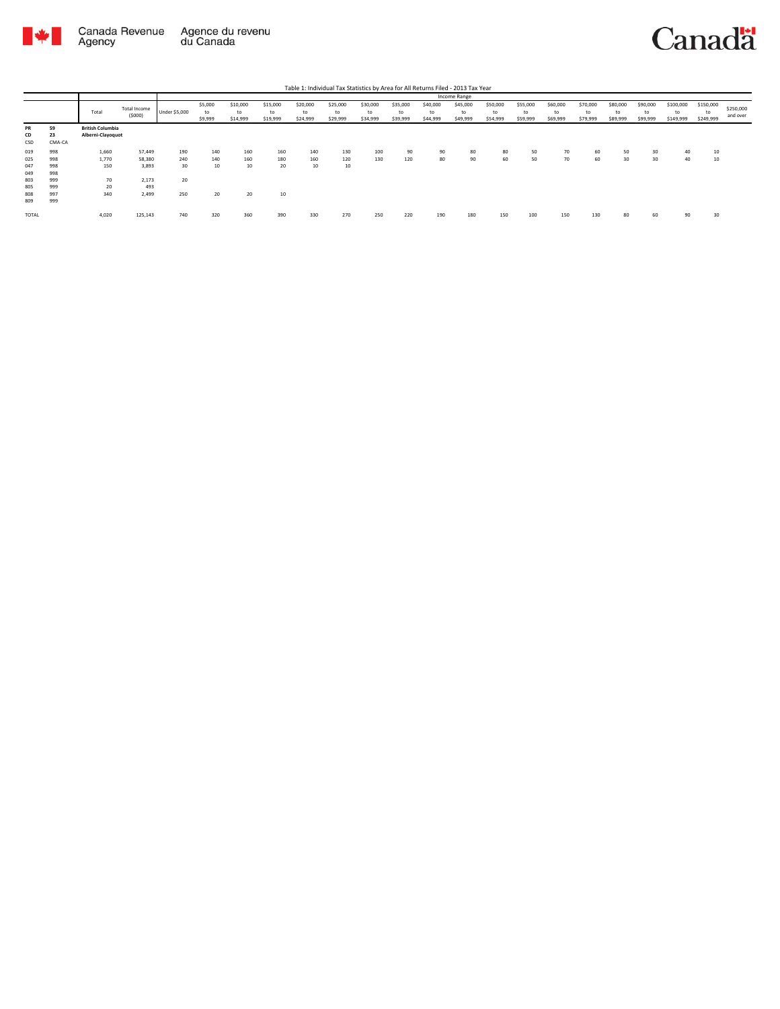

|                 |                    |                                              |              |               |               |                |                |                |                |                |                |                | Income Range   |                |                |                |                |                |                |                 |                 |           |
|-----------------|--------------------|----------------------------------------------|--------------|---------------|---------------|----------------|----------------|----------------|----------------|----------------|----------------|----------------|----------------|----------------|----------------|----------------|----------------|----------------|----------------|-----------------|-----------------|-----------|
|                 |                    |                                              | Total Income |               | \$5,000       | \$10,000       | \$15,000       | \$20,000       | \$25,000       | \$30,000       | \$35,000       | \$40,000       | \$45,000       | \$50,000       | \$55,000       | \$60,000       | \$70,000       | \$80,000       | \$90,000       | \$100,000       | \$150,000       | \$250,000 |
|                 |                    | Total                                        | (5000)       | Under \$5,000 | to<br>\$9,999 | to<br>\$14,999 | to<br>\$19,999 | to<br>\$24,999 | to<br>\$29,999 | to<br>\$34,999 | to<br>\$39,999 | to<br>\$44,999 | to<br>\$49,999 | to<br>\$54,999 | to<br>\$59,999 | to<br>\$69,999 | to<br>\$79,999 | to<br>\$89,999 | to<br>\$99,999 | to<br>\$149,999 | to<br>\$249,999 | and over  |
| PR<br>CD<br>CSD | 59<br>23<br>CMA-CA | <b>British Columbia</b><br>Alberni-Clayoquot |              |               |               |                |                |                |                |                |                |                |                |                |                |                |                |                |                |                 |                 |           |
| 019             | 998                | 1,660                                        | 57,449       | 190           | 140           | 160            | 160            | 140            | 130            | 100            | 90             | 90             | 80             | 80             | 50             | 70             | 60             | 50             | 30             | 40              | 10              |           |
| 025             | 998                | 1,770                                        | 58,380       | 240           | 140           | 160            | 180            | 160            | 120            | 130            | 120            | 80             | 90             | 60             | 50             | 70             | 60             | 30             | 30             | 40              | 10              |           |
| 047             | 998                | 150                                          | 3,893        | 30            | 10            | 10             | 20             | 10             | 10             |                |                |                |                |                |                |                |                |                |                |                 |                 |           |
| 049             | 998                |                                              |              |               |               |                |                |                |                |                |                |                |                |                |                |                |                |                |                |                 |                 |           |
| 803             | 999                | 70                                           | 2,173        | 20            |               |                |                |                |                |                |                |                |                |                |                |                |                |                |                |                 |                 |           |
| 805             | 999                | 20                                           | 493          |               |               |                |                |                |                |                |                |                |                |                |                |                |                |                |                |                 |                 |           |
| 808             | 997                | 340                                          | 2,499        | 250           | 20            | 20             | 10             |                |                |                |                |                |                |                |                |                |                |                |                |                 |                 |           |
| 809             | 999                |                                              |              |               |               |                |                |                |                |                |                |                |                |                |                |                |                |                |                |                 |                 |           |
| <b>TOTAL</b>    |                    | 4,020                                        | 125,143      | 740           | 320           | 360            | 390            | 330            | 270            | 250            | 220            | 190            | 180            | 150            | 100            | 150            | 130            | 80             | 60             | 90              | 30              |           |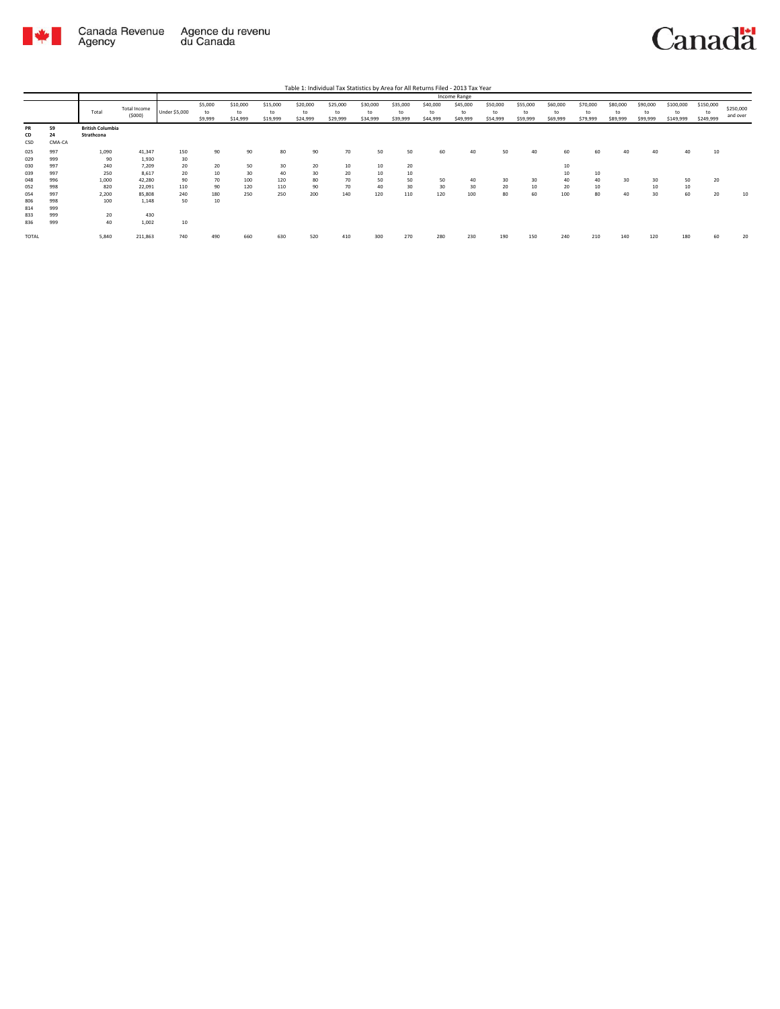

|                 |                    |                                       |                        |               |                          |                            |                            |                            |                            |                            |                            |                            | Income Range               |                            |                            |                            |                            |                            |                            |                              |                              |                       |
|-----------------|--------------------|---------------------------------------|------------------------|---------------|--------------------------|----------------------------|----------------------------|----------------------------|----------------------------|----------------------------|----------------------------|----------------------------|----------------------------|----------------------------|----------------------------|----------------------------|----------------------------|----------------------------|----------------------------|------------------------------|------------------------------|-----------------------|
|                 |                    | Total                                 | Total Income<br>(5000) | Under \$5,000 | \$5,000<br>to<br>\$9,999 | \$10,000<br>to<br>\$14,999 | \$15,000<br>to<br>\$19,999 | \$20,000<br>to<br>\$24,999 | \$25,000<br>to<br>\$29,999 | \$30,000<br>to<br>\$34,999 | \$35,000<br>to<br>\$39,999 | \$40,000<br>to<br>\$44,999 | \$45,000<br>to<br>\$49,999 | \$50,000<br>to<br>\$54,999 | \$55,000<br>to<br>\$59,999 | \$60,000<br>to<br>\$69,999 | \$70,000<br>to<br>\$79,999 | \$80,000<br>to<br>\$89,999 | \$90,000<br>to<br>\$99,999 | \$100,000<br>to<br>\$149,999 | \$150,000<br>to<br>\$249,999 | \$250,000<br>and over |
| PR<br>CD<br>CSD | 59<br>24<br>CMA-CA | <b>British Columbia</b><br>Strathcona |                        |               |                          |                            |                            |                            |                            |                            |                            |                            |                            |                            |                            |                            |                            |                            |                            |                              |                              |                       |
| 025             | 997                | 1,090                                 | 41,347                 | 150           | 90                       | 90                         | 80                         | 90                         | 70                         | 50                         | 50                         | 60                         | 40                         | 50                         | 40                         | 60                         | 60                         | 40                         | 40                         | 40                           | 10                           |                       |
| 029             | 999                | 90                                    | 1,930                  | 30            |                          |                            |                            |                            |                            |                            |                            |                            |                            |                            |                            |                            |                            |                            |                            |                              |                              |                       |
| 030             | 997                | 240                                   | 7,209                  | 20            | 20                       | 50                         | 30                         | 20                         | 10                         | 10                         | 20                         |                            |                            |                            |                            | 10                         |                            |                            |                            |                              |                              |                       |
| 039             | 997                | 250                                   | 8,617                  | 20            | 10                       | 30                         | 40                         | 30                         | 20                         | 10                         | 10                         |                            |                            |                            |                            | 10                         | 10                         |                            |                            |                              |                              |                       |
| 048             | 996                | 1,000                                 | 42,280                 | 90            | 70                       | 100                        | 120                        | 80                         | 70                         | 50                         | 50                         | 50                         | 40                         | 30                         | 30                         | 40                         | 40                         | 30                         | 30                         | 50                           | 20                           |                       |
| 052             | 998                | 820                                   | 22,091                 | 110           | 90                       | 120                        | 110                        | 90                         | 70                         | 40                         | 30                         | 30                         | 30                         | 20                         | 10                         | 20                         | 10                         |                            | 10                         | 10                           |                              |                       |
| 054             | 997                | 2,200                                 | 85,808                 | 240           | 180                      | 250                        | 250                        | 200                        | 140                        | 120                        | 110                        | 120                        | 100                        | 80                         | 60                         | 100                        | 80                         | 40                         | 30                         | 60                           | 20                           | 10                    |
| 806             | 998                | 100                                   | 1,148                  | 50            | $10$                     |                            |                            |                            |                            |                            |                            |                            |                            |                            |                            |                            |                            |                            |                            |                              |                              |                       |
| 814             | 999                |                                       |                        |               |                          |                            |                            |                            |                            |                            |                            |                            |                            |                            |                            |                            |                            |                            |                            |                              |                              |                       |
| 833             | 999                | 20                                    | 430                    |               |                          |                            |                            |                            |                            |                            |                            |                            |                            |                            |                            |                            |                            |                            |                            |                              |                              |                       |
| 836             | 999                | 40                                    | 1,002                  | $10$          |                          |                            |                            |                            |                            |                            |                            |                            |                            |                            |                            |                            |                            |                            |                            |                              |                              |                       |
| <b>TOTAL</b>    |                    | 5,840                                 | 211,863                | 740           | 490                      | 660                        | 630                        | 520                        | 410                        | 300                        | 270                        | 280                        | 230                        | 190                        | 150                        | 240                        | 210                        | 140                        | 120                        | 180                          | 60                           | 20                    |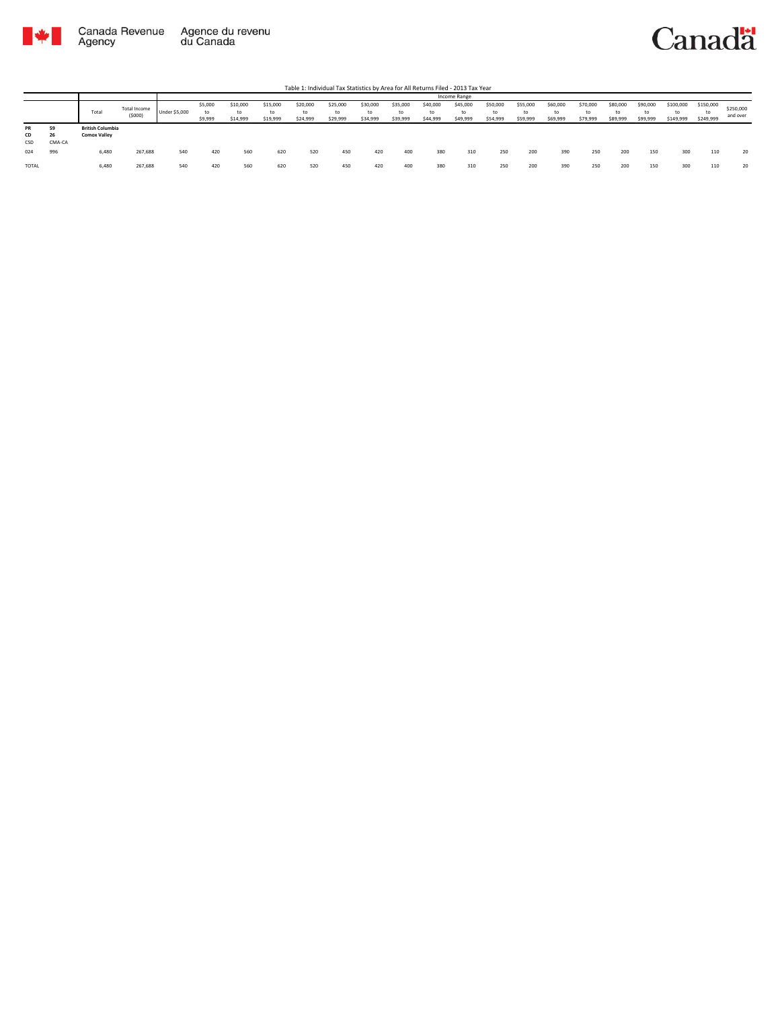

|                 |                            |                                                |                        |                      |                          |                            |                            |                            |                            |                            |                            |                            | Income Range               |                            |                            |                            |                            |                            |                            |                              |                              |                       |
|-----------------|----------------------------|------------------------------------------------|------------------------|----------------------|--------------------------|----------------------------|----------------------------|----------------------------|----------------------------|----------------------------|----------------------------|----------------------------|----------------------------|----------------------------|----------------------------|----------------------------|----------------------------|----------------------------|----------------------------|------------------------------|------------------------------|-----------------------|
|                 |                            | Total                                          | Total Income<br>(5000) | <b>Under \$5,000</b> | \$5,000<br>to<br>\$9,999 | \$10,000<br>to<br>\$14,999 | \$15,000<br>to<br>\$19,999 | \$20,000<br>to<br>\$24,999 | \$25,000<br>to<br>\$29,999 | \$30,000<br>to<br>\$34,999 | \$35,000<br>to<br>\$39,999 | \$40,000<br>to<br>\$44,999 | \$45,000<br>to<br>\$49,999 | \$50,000<br>to<br>\$54,999 | \$55,000<br>to<br>\$59,999 | \$60,000<br>to<br>\$69,999 | \$70,000<br>to<br>\$79,999 | \$80,000<br>to<br>\$89,999 | \$90,000<br>to<br>\$99,999 | \$100,000<br>to<br>\$149,999 | \$150,000<br>to<br>\$249,999 | \$250,000<br>and over |
| PR<br>CD<br>CSD | 59<br>ne.<br>-46<br>CMA-CA | <b>British Columbia</b><br><b>Comox Valley</b> |                        |                      |                          |                            |                            |                            |                            |                            |                            |                            |                            |                            |                            |                            |                            |                            |                            |                              |                              |                       |
| 024             | 996                        | 6,480                                          | 267,688                | 540                  | 420                      | 560                        | 620                        | 520                        | 450                        | 420                        | 400                        | 380                        | 310                        | 250                        | 200                        | 390                        | 250                        | 200                        | 150                        | 300                          | 110                          | 20                    |
| <b>TOTAL</b>    |                            | 6,480                                          | 267,688                | 540                  | 420                      | 560                        | 620                        | 520                        | 450                        | 420                        | 400                        | 380                        | 310                        | 250                        | 200                        | 390                        | 250                        | 200                        | 150                        | 300                          |                              | 20                    |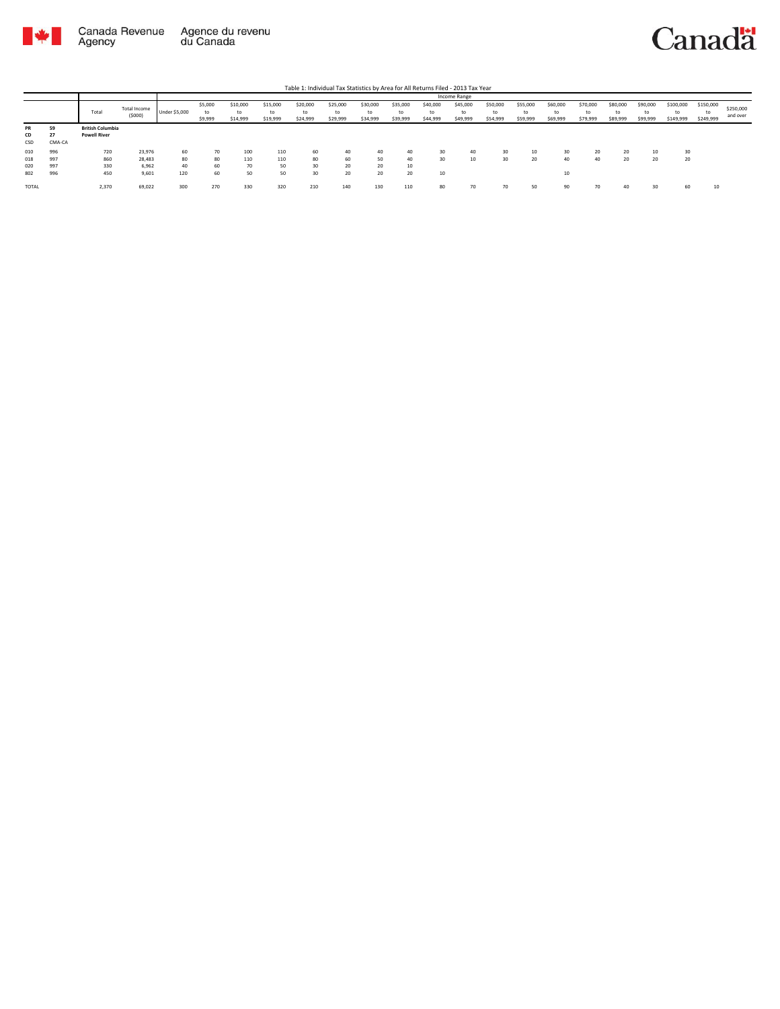

|                 |                    |                                                |                        |                      |                          |                            |                            |                            |                            |                            |                            |                            | Income Range               |                            |                            |                            |                            |                            |                            |                              |                              |                       |
|-----------------|--------------------|------------------------------------------------|------------------------|----------------------|--------------------------|----------------------------|----------------------------|----------------------------|----------------------------|----------------------------|----------------------------|----------------------------|----------------------------|----------------------------|----------------------------|----------------------------|----------------------------|----------------------------|----------------------------|------------------------------|------------------------------|-----------------------|
|                 |                    | Total                                          | Total Income<br>(5000) | <b>Under \$5,000</b> | \$5,000<br>to<br>\$9,999 | \$10,000<br>to<br>\$14,999 | \$15,000<br>to<br>\$19,999 | \$20,000<br>to<br>\$24,999 | \$25,000<br>to<br>\$29,999 | \$30,000<br>to<br>\$34,999 | \$35,000<br>to<br>\$39,999 | \$40,000<br>to<br>\$44,999 | \$45,000<br>to<br>\$49,999 | \$50,000<br>to<br>\$54,999 | \$55,000<br>to<br>\$59,999 | \$60,000<br>to<br>\$69,999 | \$70,000<br>to<br>\$79,999 | \$80,000<br>to<br>\$89,999 | \$90,000<br>to<br>\$99,999 | \$100,000<br>to<br>\$149,999 | \$150,000<br>to<br>\$249,999 | \$250,000<br>and over |
| PR<br>CD<br>CSD | 59<br>27<br>CMA-CA | <b>British Columbia</b><br><b>Powell River</b> |                        |                      |                          |                            |                            |                            |                            |                            |                            |                            |                            |                            |                            |                            |                            |                            |                            |                              |                              |                       |
| 010             | 996                | 720                                            | 23,976                 | 60                   | 70                       | 100                        | 110                        | 60                         | 40                         | 40                         | 40                         | 30                         | 40                         | 30                         | 10                         | 30                         | 20                         | $\sim$<br>-20              | 10                         | 30                           |                              |                       |
| 018             | 997                | 860                                            | 28,483                 | 80                   | 80                       | 110                        | 110                        | 80                         | 60                         | 50                         | 40                         | 30                         | 10                         | 30                         | 20                         | 40                         | 40                         | 20                         | 20                         | 20                           |                              |                       |
| 020             | 997                | 330                                            | 6,962                  | 40                   | 60                       | 70                         | 50                         | 30                         | 20                         | 20                         | 10                         |                            |                            |                            |                            |                            |                            |                            |                            |                              |                              |                       |
| 802             | 996                | 450                                            | 9,601                  | 120                  | 60                       | 50                         | 50                         | 30                         | 20                         | 20                         | 20                         | 10                         |                            |                            |                            | $\sim$<br>w                |                            |                            |                            |                              |                              |                       |
| TOTAL           |                    | 2,370                                          | 69,022                 | 300                  | 270                      | 330                        | 320                        | 210                        | 140                        | 130                        | 110                        | 80                         | 70                         | 70                         | 50                         | or<br>-20                  | 70                         | 40                         | 30                         | 60                           | -14                          |                       |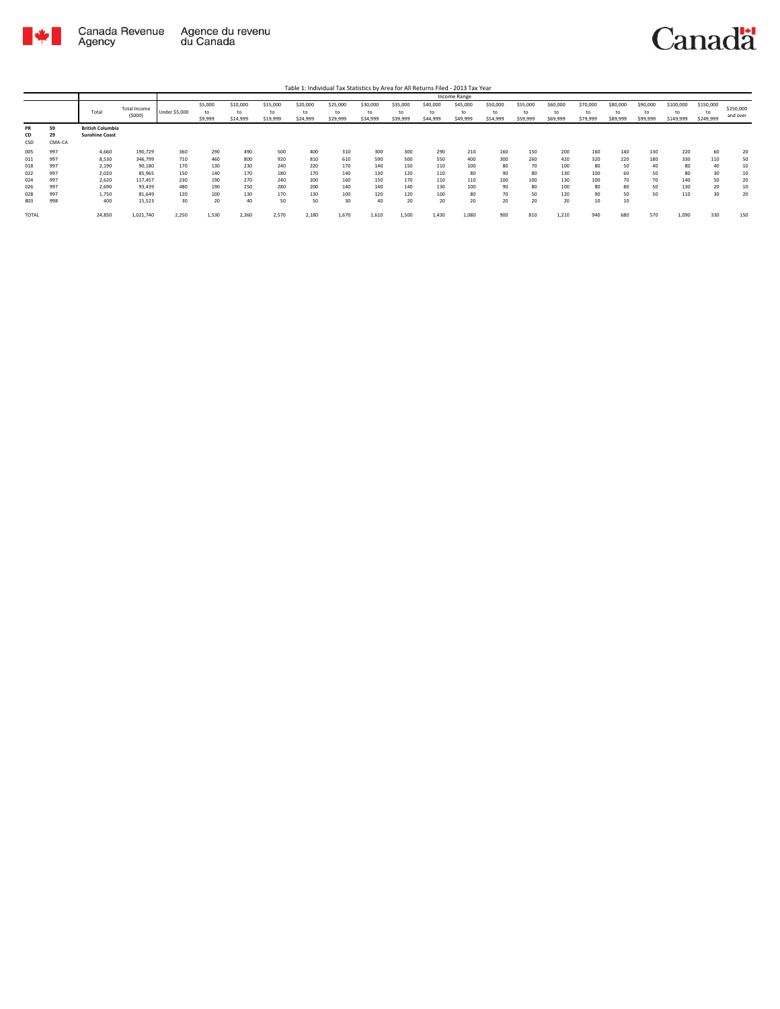

Table 1: Individual Tax Statistics by Area for All Returns Filed - 2013 Tax Year

|              |        |                         |              |               |         |          |          |          |          |          |          |          | <b>Income Range</b> |          |          |          |          |          |          |           |           |           |
|--------------|--------|-------------------------|--------------|---------------|---------|----------|----------|----------|----------|----------|----------|----------|---------------------|----------|----------|----------|----------|----------|----------|-----------|-----------|-----------|
|              |        |                         | Total Income |               | \$5,000 | \$10,000 | \$15,000 | \$20,000 | \$25,000 | \$30,000 | \$35,000 | \$40,000 | \$45,000            | \$50,000 | \$55,000 | \$60,000 | \$70,000 | \$80,000 | \$90,000 | \$100,000 | \$150,000 | \$250,000 |
|              |        | Total                   |              | Under \$5,000 | to      | to       | to       | to       | to       | to       | to       | to       | to                  | to       | to       | to       | to       | to       | to       |           | to        |           |
|              |        |                         | (5000)       |               | \$9,999 | \$14,999 | \$19,999 | \$24,999 | \$29,999 | \$34,999 | \$39,999 | \$44,999 | \$49,999            | \$54,999 | \$59,999 | \$69,999 | \$79,999 | \$89,999 | \$99,999 | \$149,999 | \$249,999 | and over  |
| PR           | 59     | <b>British Columbia</b> |              |               |         |          |          |          |          |          |          |          |                     |          |          |          |          |          |          |           |           |           |
| CD           | 29     | <b>Sunshine Coast</b>   |              |               |         |          |          |          |          |          |          |          |                     |          |          |          |          |          |          |           |           |           |
| CSD          | CMA-CA |                         |              |               |         |          |          |          |          |          |          |          |                     |          |          |          |          |          |          |           |           |           |
| 005          | 997    | 4,660                   | 190,729      | 360           | 290     | 490      | 500      | 400      | 310      | 300      | 300      | 290      | 210                 | 160      | 150      | 200      | 160      | 140      | 130      | 220       | 60        | 20        |
| 011          | 997    | 8,530                   | 346,799      | 710           | 460     | 800      | 920      | 810      | 610      | 590      | 500      | 550      | 400                 | 300      | 260      | 420      | 320      | 220      | 180      | 330       | 110       | 50        |
| 018          | 997    | 2,190                   | 90,180       | 170           | 130     | 230      | 240      | 220      | 170      | 140      | 150      | 110      | 100                 | 80       | 70       | 100      | 80       | 50       | 40       | 80        | 40        | 10        |
| 022          | 997    | 2.020                   | 85,965       | 150           | 140     | 170      | 180      | 170      | 140      | 130      | 120      | 110      | 80                  | 90       | 80       | 130      | 100      | 60       | 50       | 80        | 30        | 10        |
| 024          | 997    | 2,620                   | 117,457      | 230           | 190     | 270      | 240      | 200      | 160      | 150      | 170      | 110      | 110                 | 100      | 100      | 130      | 100      | 70       | 70       | 140       | 50        | 20        |
| 026          | 997    | 2,690                   | 93,439       | 480           | 190     | 250      | 280      | 200      | 140      | 140      | 140      | 130      | 100                 | 90       | 80       | 100      | 80       | 80       | 50       | 130       | 20        | 10        |
| 028          | 997    | 1,750                   | 81,649       | 120           | 100     | 130      | 170      | 130      | 100      | 120      | 120      | 100      | 80                  | 70       | 50       | 120      | 90       | 50       | 50       | 110       | 30        | 20        |
| 803          | 998    | 400                     | 15,523       | 30            | 20      | 40       | 50       | 50       | 30       | 40       | 20       | 20       | 20                  | 20       | 20       | 20       | 10       | 10       |          |           |           |           |
| <b>TOTAL</b> |        | 24,850                  | 1,021,740    | 2,250         | 1,530   | 2,360    | 2,570    | 2,180    | 1,670    | 1,610    | 1,500    | 1,430    | 1,080               | 900      | 810      | 1,210    | 940      | 680      | 570      | 1,090     | 330       | 150       |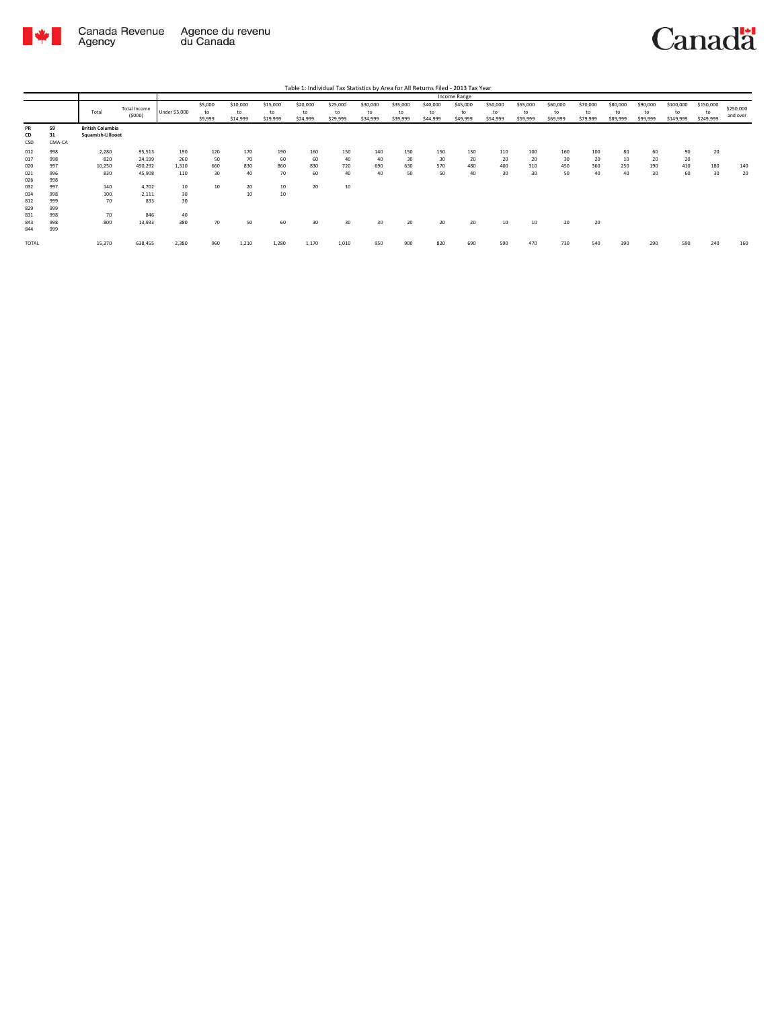

Agency

# Canadä

Total Total Income (\$000) Under \$5,000 \$5,000 to \$9,999 \$10,000 to \$14,999 \$15,000 to \$19,999 \$20,000 to \$24,999 \$25,000 to \$29,999 \$30,000 to \$34,999 \$35,000 to \$39,999 \$40,000 to \$44,999 \$45,000 to \$49,999 \$50,000 to \$54,999 \$55,000 to \$59,999 \$60,000 to \$69,999 \$70,000 to \$79,999 \$80,000 to \$89,999 \$90,000 to \$99,999 \$100,000 to \$149,999 \$150,000 to \$249,999 \$250,000 and over Table 1: Individual Tax Statistics by Area for All Returns Filed - 2013 Tax Year Income Range **PR 59 British Columbia CD 31 Squamish-Lillooet PR** 59<br>CD 31<br>012 998<br>012 998<br>020 998<br>024 998<br>034 998<br>822 9999<br>831<br>829 999 012 998 2,280 95,513 190 120 170 190 160 150 140 150 150 130 110 100 160 100 80 60 90 20 017 998 820 24,199 260 50 70 60 60 40 40 30 30 20 20 20 30 20 10 20 20 020 997 10,250 450,292 1,310 660 830 860 830 720 690 630 570 480 400 310 450 360 250 190 410 180 140 021 996 830 45,908 110 30 40 70 60 40 40 50 50 40 30 30 50 40 40 30 60 30 20 026 998 032 997 140 4,702 10 10 20 10 20 10 034 998 100 2,111 30 10 10  $\begin{array}{cccc} 140 & & & 4,702 & & & 10 \\ 100 & & & 2,111 & & & 30 \\ 70 & & & & 833 & & 30 \end{array}$ 829 999 10 9846 40<br>800 13,933 380 843 998 800 13,933 380 70 50 60 30 30 30 20 20 20 10 10 20 20 844 999 TOTAL 15,370 638,455 2,380 960 1,210 1,280 1,170 1,010 950 900 820 690 590 470 730 540 390 290 590 240 160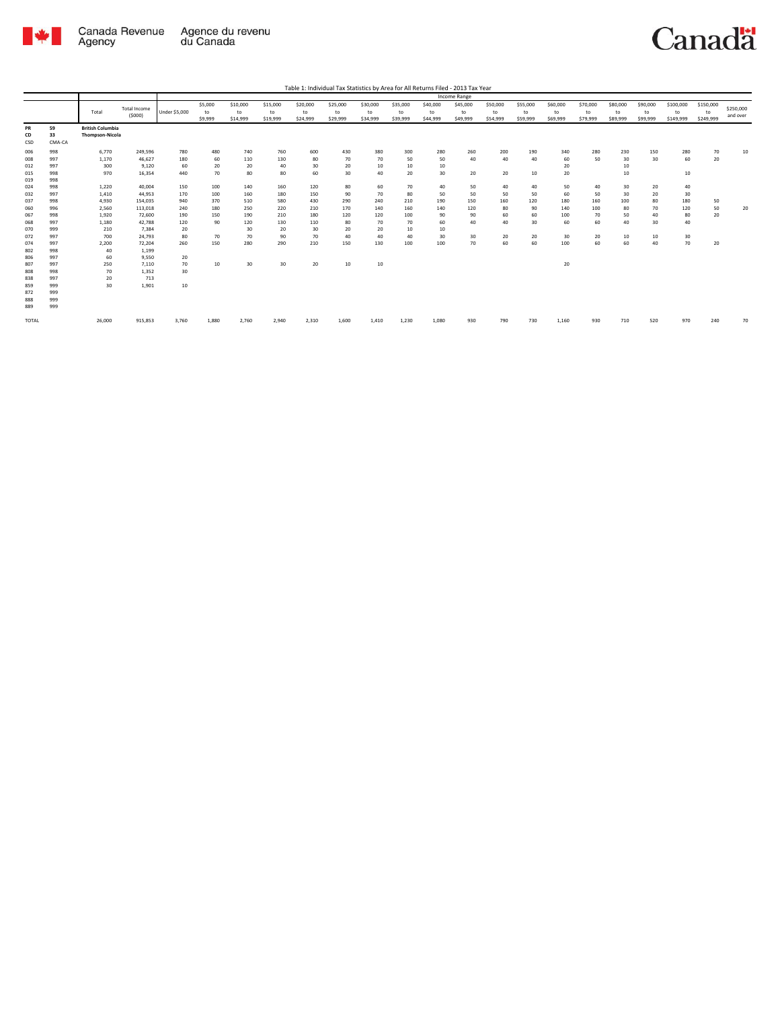

|            |            |                         |                     |               |         |          |          |          |          |          |          |          | <b>Income Range</b> |          |          |          |          |          |          |           |           |           |
|------------|------------|-------------------------|---------------------|---------------|---------|----------|----------|----------|----------|----------|----------|----------|---------------------|----------|----------|----------|----------|----------|----------|-----------|-----------|-----------|
|            |            |                         | <b>Total Income</b> |               | \$5,000 | \$10,000 | \$15,000 | \$20,000 | \$25,000 | \$30,000 | \$35,000 | \$40,000 | \$45,000            | \$50,000 | \$55,000 | \$60,000 | \$70,000 | \$80,000 | \$90,000 | \$100,000 | \$150,000 | \$250,000 |
|            |            | Total                   | (5000)              | Under \$5,000 | to      | to       | to       | to       | to       | to       | to       | to       | to                  | to       | to       | to       | to       | to       | to       | to        | to        | and over  |
|            |            |                         |                     |               | \$9,999 | \$14,999 | \$19,999 | \$24,999 | \$29,999 | \$34,999 | \$39,999 | \$44,999 | \$49,999            | \$54,999 | \$59,999 | \$69,999 | \$79,999 | \$89,999 | \$99,999 | \$149,999 | \$249,999 |           |
| PR         | 59         | <b>British Columbia</b> |                     |               |         |          |          |          |          |          |          |          |                     |          |          |          |          |          |          |           |           |           |
| CD         | 33         | <b>Thompson-Nicola</b>  |                     |               |         |          |          |          |          |          |          |          |                     |          |          |          |          |          |          |           |           |           |
| CSD        | CMA-CA     |                         |                     |               |         |          |          |          |          |          |          |          |                     |          |          |          |          |          |          |           |           |           |
| 006        | 998        | 6,770                   | 249,596             | 780           | 480     | 740      | 760      | 600      | 430      | 380      | 300      | 280      | 260                 | 200      | 190      | 340      | 280      | 230      | 150      | 280       | 70        | 10        |
| 008        | 997        | 1,170                   | 46,627              | 180           | 60      | 110      | 130      | 80       | 70       | 70       | 50       | 50       | 40                  | 40       | 40       | 60       | 50       | 30       | 30       | 60        | 20        |           |
| 012        | 997        | 300                     | 9,120               | 60            | 20      | 20       | 40       | 30       | 20       | 10       | 10       | 10       |                     |          |          | 20       |          | 10       |          |           |           |           |
| 015        | 998        | 970                     | 16,354              | 440           | 70      | 80       | 80       | 60       | 30       | 40       | 20       | 30       | 20                  | 20       | 10       | 20       |          | 10       |          | 10        |           |           |
| 019        | 998        |                         |                     |               |         |          |          |          |          |          |          |          |                     |          |          |          |          |          |          |           |           |           |
| 024        | 998        | 1,220                   | 40,004              | 150           | 100     | 140      | 160      | 120      | 80       | 60       | 70       | 40       | 50                  | 40       | 40       | 50       | 40       | 30       | 20       | 40        |           |           |
| 032        | 997        | 1.410                   | 44.953              | 170           | 100     | 160      | 180      | 150      | 90       | 70       | 80       | 50       | 50                  | 50       | 50       | 60       | 50       | 30       | 20       | 30        |           |           |
| 037        | 998        | 4,930                   | 154.035             | 940           | 370     | 510      | 580      | 430      | 290      | 240      | 210      | 190      | 150                 | 160      | 120      | 180      | 160      | 100      | 80       | 180       | 50        |           |
| 060        | 996        | 2,560                   | 113,018             | 240           | 180     | 250      | 220      | 210      | 170      | 140      | 160      | 140      | 120                 | 80       | 90       | 140      | 100      | 80       | 70       | 120       | 50        | 20        |
| 067        | 998        | 1,920                   | 72,600              | 190           | 150     | 190      | 210      | 180      | 120      | 120      | 100      | 90       | 90                  | 60       | 60       | 100      | 70       | 50       | 40       | 80        | 20        |           |
| 068        | 997        | 1,180                   | 42,788              | 120           | 90      | 120      | 130      | 110      | 80       | 70       | 70       | 60       | 40                  | 40       | 30       | 60       | 60       | 40       | 30       | 40        |           |           |
| 070        | 999        | 210                     | 7,384               | 20            |         | 30       | 20       | 30       | 20       | 20       | 10       | 10       |                     |          |          |          |          |          |          |           |           |           |
| 072        | 997        | 700                     | 24.793              | 80            | 70      | 70       | 90       | 70       | 40       | 40       | 40       | 30       | 30                  | 20       | 20       | 30       | 20       | 10       | 10       | 30        |           |           |
| 074        | 997        | 2,200                   | 72,204              | 260           | 150     | 280      | 290      | 210      | 150      | 130      | 100      | 100      | 70                  | 60       | 60       | 100      | 60       | 60       | 40       | 70        | 20        |           |
| 802        | 998        | 40                      | 1,199               |               |         |          |          |          |          |          |          |          |                     |          |          |          |          |          |          |           |           |           |
| 806        | 997        | 60                      | 9,550               | 20            |         |          |          |          |          |          |          |          |                     |          |          |          |          |          |          |           |           |           |
| 807        | 997        | 250                     | 7,110               | 70            | 10      | 30       | 30       | 20       | 10       | 10       |          |          |                     |          |          | 20       |          |          |          |           |           |           |
| 808        | 998        | 70                      | 1.352               | 30            |         |          |          |          |          |          |          |          |                     |          |          |          |          |          |          |           |           |           |
| 838        | 997        | 20                      | 713                 |               |         |          |          |          |          |          |          |          |                     |          |          |          |          |          |          |           |           |           |
| 859        | 999        | 30                      | 1,901               | 10            |         |          |          |          |          |          |          |          |                     |          |          |          |          |          |          |           |           |           |
| 872        | 999        |                         |                     |               |         |          |          |          |          |          |          |          |                     |          |          |          |          |          |          |           |           |           |
| 888<br>889 | 999<br>999 |                         |                     |               |         |          |          |          |          |          |          |          |                     |          |          |          |          |          |          |           |           |           |
|            |            |                         |                     |               |         |          |          |          |          |          |          |          |                     |          |          |          |          |          |          |           |           |           |
| TOTAL      |            | 26,000                  | 915,853             | 3,760         | 1,880   | 2,760    | 2,940    | 2,310    | 1,600    | 1,410    | 1,230    | 1,080    | 930                 | 790      | 730      | 1,160    | 930      | 710      | 520      | 970       | 240       | 70        |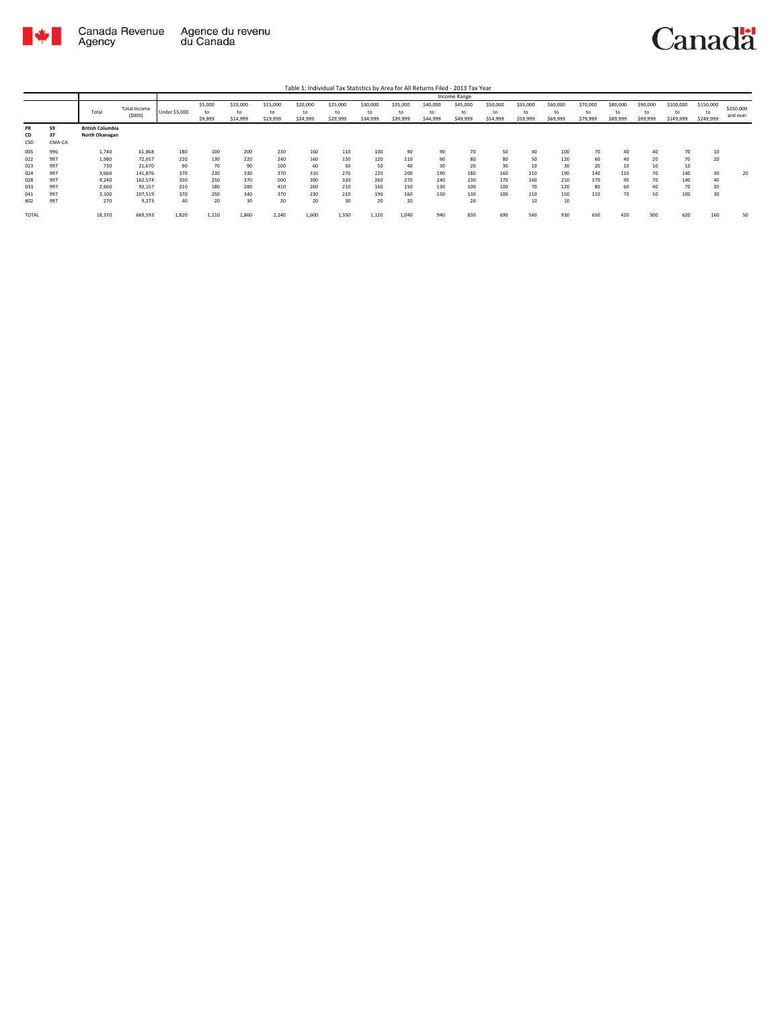

Table 1: Individual Tax Statistics by Area for All Returns Filed - 2013 Tax Year

|       |        |                         |              |                      |         |          |          |          |          |          |          |          | Income Range |          |          |          |          |          |          |           |           |           |
|-------|--------|-------------------------|--------------|----------------------|---------|----------|----------|----------|----------|----------|----------|----------|--------------|----------|----------|----------|----------|----------|----------|-----------|-----------|-----------|
|       |        |                         | Total Income |                      | \$5,000 | \$10,000 | \$15,000 | \$20,000 | \$25,000 | \$30,000 | \$35,000 | \$40,000 | \$45,000     | \$50,000 | \$55,000 | \$60,000 | \$70,000 | \$80,000 | \$90,000 | \$100,000 | \$150,000 | \$250,000 |
|       |        | Total                   |              | <b>Under \$5,000</b> | to      | to       | to       | t٥       | to       | tc       | to       | to       | to           | to       | to       | to       | to       | to       | to       |           | to        |           |
|       |        |                         | (5000)       |                      | \$9,999 | \$14,999 | \$19,999 | \$24,999 | \$29,999 | \$34,999 | \$39,999 | \$44,999 | \$49,999     | \$54,999 | \$59,999 | \$69,999 | \$79,999 | \$89,999 | \$99,999 | \$149,999 | \$249,999 | and over  |
| PR    | 59     | <b>British Columbia</b> |              |                      |         |          |          |          |          |          |          |          |              |          |          |          |          |          |          |           |           |           |
| CD    | 37     | North Okanagan          |              |                      |         |          |          |          |          |          |          |          |              |          |          |          |          |          |          |           |           |           |
| CSD   | CMA-CA |                         |              |                      |         |          |          |          |          |          |          |          |              |          |          |          |          |          |          |           |           |           |
| 005   | 996    | 1,740                   | 61,868       | 180                  | 100     | 200      | 230      | 160      | 110      | 100      | 90       | 90       | 70           | 50       | 40       | 100      | 70       | 40       | 40       | 70        | 10        |           |
| 022   | 997    | 1,980                   | 72,657       | 220                  | 130     | 220      | 240      | 160      | 150      | 120      | 110      | 90       | 80           | 80       | 50       | 120      | 60       | 40       | 20       | 70        | 20        |           |
| 023   | 997    | 730                     | 21,670       | 90                   | 70      | 90       | 100      | 60       | 50       | 50       | 40       | 30       | 20           | 30       | 10       | 30       | 20       | 10       | 10       | 10        |           |           |
| 024   | 997    | 3,660                   | 141,876      | 370                  | 230     | 330      | 370      | 310      | 270      | 220      | 200      | 190      | 180          | 160      | 110      | 190      | 140      | 110      | 70       | 140       | 40        | 20        |
| 028   | 997    | 4.240                   | 162,574      | 350                  | 250     | 370      | 500      | 390      | 320      | 260      | 270      | 240      | 230          | 170      | 160      | 210      | 170      | 90       | 70       | 140       | 40        |           |
| 033   | 997    | 2,660                   | 92,157       | 210                  | 180     | 280      | 410      | 260      | 210      | 160      | 150      | 130      | 100          | 100      | 70       | 120      | 80       | 60       | 40       | 70        | 20        |           |
| 041   | 997    | 3,100                   | 107,519      | 370                  | 250     | 340      | 370      | 230      | 210      | 190      | 160      | 150      | 130          | 100      | 110      | 150      | 110      | 70       | 50       | 100       | 30        |           |
| 802   | 997    | 270                     | 9,273        | 40                   | 20      | 30       | 20       | 20       | 30       | 20       | 20       |          | 20           |          | 10       | 10       |          |          |          |           |           |           |
| TOTAL |        | 18,370                  | 669,593      | 1,820                | 1,210   | 1,860    | 2,240    | 1,600    | 1,350    | 1,120    | 1,040    | 940      | 830          | 690      | 560      | 930      | 650      | 420      | 300      | 620       | 160       | 50        |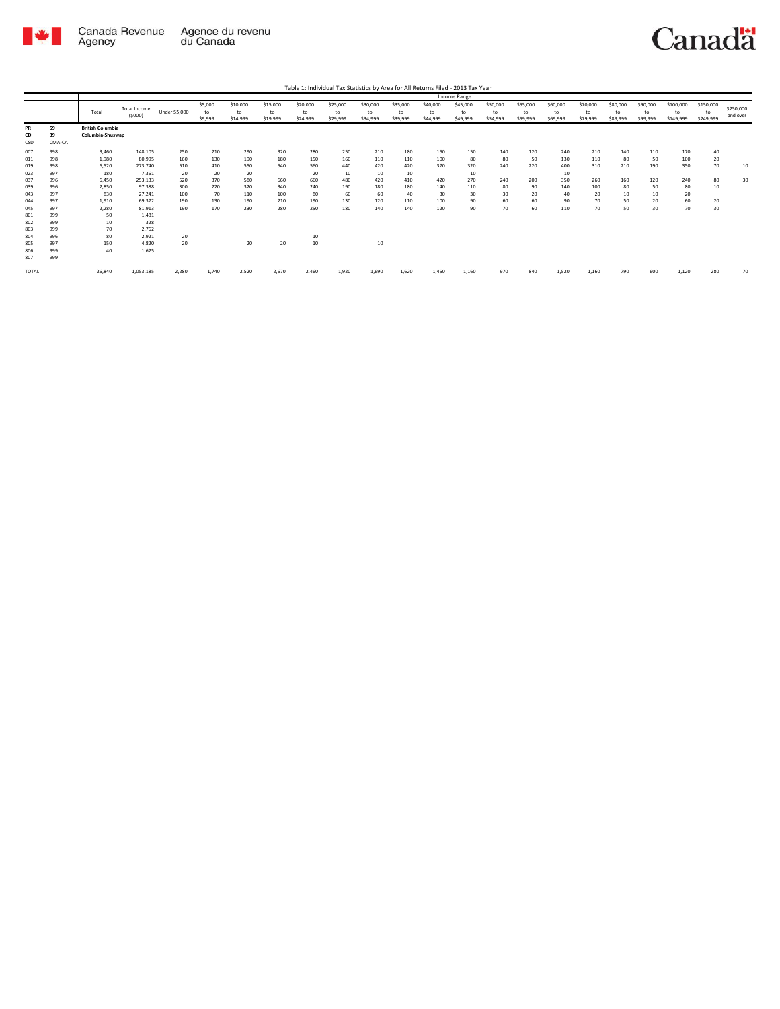

| Table 1: Individual Tax Statistics by Area for All Returns Filed - 2013 Tax Year |  |
|----------------------------------------------------------------------------------|--|

|                 |                    |                                             |                               |               |                          |                            |                            |                            |                            |                            |                            |                            | Income Range               |                            |                            |                            |                            |                            |                            |                              |                              |                       |
|-----------------|--------------------|---------------------------------------------|-------------------------------|---------------|--------------------------|----------------------------|----------------------------|----------------------------|----------------------------|----------------------------|----------------------------|----------------------------|----------------------------|----------------------------|----------------------------|----------------------------|----------------------------|----------------------------|----------------------------|------------------------------|------------------------------|-----------------------|
|                 |                    | Total                                       | <b>Total Income</b><br>(5000) | Under \$5,000 | \$5,000<br>to<br>\$9,999 | \$10,000<br>to<br>\$14,999 | \$15,000<br>to<br>\$19,999 | \$20,000<br>to<br>\$24,999 | \$25,000<br>to<br>\$29,999 | \$30,000<br>to<br>\$34,999 | \$35,000<br>to<br>\$39,999 | \$40,000<br>to<br>\$44,999 | \$45,000<br>to<br>\$49,999 | \$50,000<br>to<br>\$54,999 | \$55,000<br>to<br>\$59,999 | \$60,000<br>to<br>\$69,999 | \$70,000<br>to<br>\$79,999 | \$80,000<br>to<br>\$89,999 | \$90,000<br>to<br>\$99,999 | \$100,000<br>to<br>\$149,999 | \$150,000<br>to<br>\$249,999 | \$250,000<br>and over |
| PR<br>CD<br>CSD | 59<br>39<br>CMA-CA | <b>British Columbia</b><br>Columbia-Shuswap |                               |               |                          |                            |                            |                            |                            |                            |                            |                            |                            |                            |                            |                            |                            |                            |                            |                              |                              |                       |
| 007             | 998                | 3,460                                       | 148,105                       | 250           | 210                      | 290                        | 320                        | 280                        | 250                        | 210                        | 180                        | 150                        | 150                        | 140                        | 120                        | 240                        | 210                        | 140                        | 110                        | 170                          | 40                           |                       |
| 011             | 998                | 1,980                                       | 80,995                        | 160           | 130                      | 190                        | 180                        | 150                        | 160                        | 110                        | 110                        | 100                        | 80                         | 80                         | 50                         | 130                        | 110                        | 80                         | 50                         | 100                          | 20                           |                       |
| 019             | 998                | 6,520                                       | 273,740                       | 510           | 410                      | 550                        | 540                        | 560                        | 440                        | 420                        | 420                        | 370                        | 320                        | 240                        | 220                        | 400                        | 310                        | 210                        | 190                        | 350                          | 70                           | 10                    |
| 023             | 997                | 180                                         | 7,361                         | 20            | 20                       | 20                         |                            | 20                         | 10                         | 10                         | 10                         |                            | 10                         |                            |                            | 10                         |                            |                            |                            |                              |                              |                       |
| 037             | 996                | 6,450                                       | 253,133                       | 520           | 370                      | 580                        | 660                        | 660                        | 480                        | 420                        | 410                        | 420                        | 270                        | 240                        | 200                        | 350                        | 260                        | 160                        | 120                        | 240                          | 80                           | 30                    |
| 039             | 996                | 2,850                                       | 97,388                        | 300           | 220                      | 320                        | 340                        | 240                        | 190                        | 180                        | 180                        | 140                        | 110                        | 80                         | 90                         | 140                        | 100                        | 80                         | 50                         | 80                           | 10                           |                       |
| 043             | 997                | 830                                         | 27,241                        | 100           | 70                       | 110                        | 100                        | 80                         | 60                         | 60                         | 40                         | 30                         | 30                         | 30                         | 20                         | 40                         | 20                         | 10                         | 10                         | 20                           |                              |                       |
| 044             | 997                | 1,910                                       | 69,372                        | 190           | 130                      | 190                        | 210                        | 190                        | 130                        | 120                        | 110                        | 100                        | 90                         | 60                         | 60                         | 90                         | 70                         | 50                         | 20                         | 60                           | 20                           |                       |
| 045             | 997                | 2,280                                       | 81,913                        | 190           | 170                      | 230                        | 280                        | 250                        | 180                        | 140                        | 140                        | 120                        | 90                         | 70                         | 60                         | 110                        | 70                         | 50                         | 30                         | 70                           | 30                           |                       |
| 801             | 999                | 50                                          | 1,481                         |               |                          |                            |                            |                            |                            |                            |                            |                            |                            |                            |                            |                            |                            |                            |                            |                              |                              |                       |
| 802             | 999                | 10                                          | 328                           |               |                          |                            |                            |                            |                            |                            |                            |                            |                            |                            |                            |                            |                            |                            |                            |                              |                              |                       |
| 803             | 999<br>996         | 70<br>80                                    | 2,762                         |               |                          |                            |                            |                            |                            |                            |                            |                            |                            |                            |                            |                            |                            |                            |                            |                              |                              |                       |
| 804<br>805      | 997                | 150                                         | 2,921<br>4.820                | 20<br>20      |                          | 20                         | 20                         | 10<br>10                   |                            | 10                         |                            |                            |                            |                            |                            |                            |                            |                            |                            |                              |                              |                       |
| 806             | 999                | 40                                          | 1,625                         |               |                          |                            |                            |                            |                            |                            |                            |                            |                            |                            |                            |                            |                            |                            |                            |                              |                              |                       |
| 807             | 999                |                                             |                               |               |                          |                            |                            |                            |                            |                            |                            |                            |                            |                            |                            |                            |                            |                            |                            |                              |                              |                       |
| TOTAL           |                    | 26,840                                      | 1,053,185                     | 2,280         | 1,740                    | 2,520                      | 2,670                      | 2,460                      | 1,920                      | 1,690                      | 1,620                      | 1,450                      | 1,160                      | 970                        | 840                        | 1,520                      | 1,160                      | 790                        | 600                        | 1,120                        | 280                          | 70                    |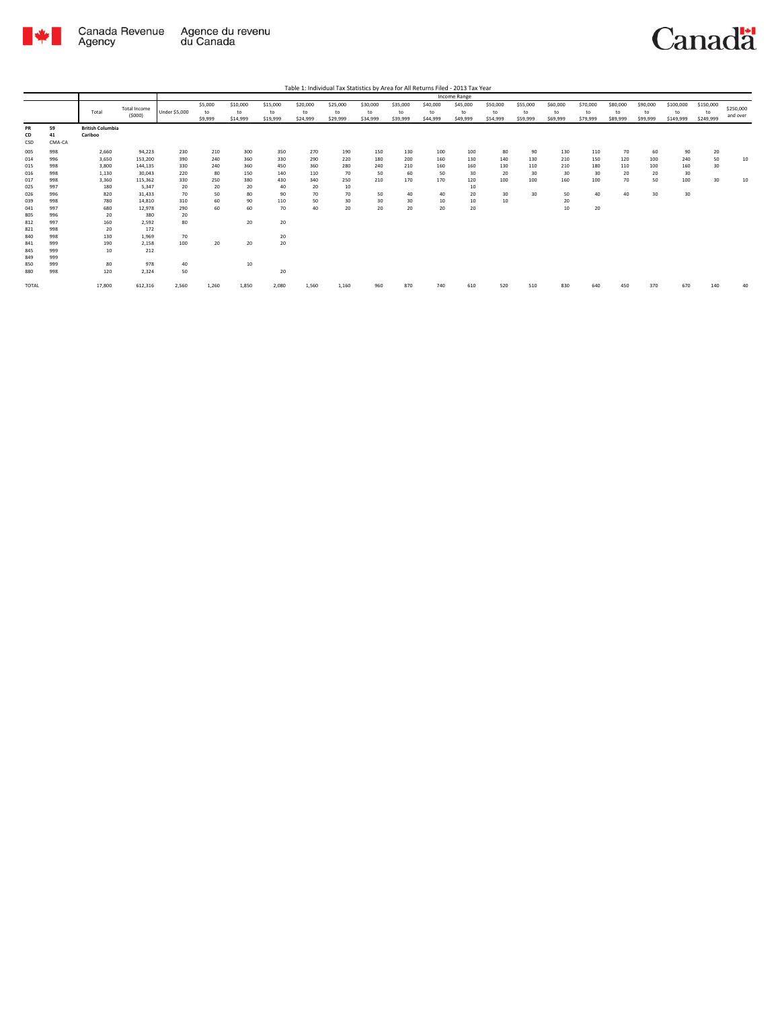

|                        |                    |                                    |                               |                      |                          |                            |                            |                            |                            |                            |                            |                            | Income Range               |                            |                            |                            |                            |                            |                            |                              |                              |                       |
|------------------------|--------------------|------------------------------------|-------------------------------|----------------------|--------------------------|----------------------------|----------------------------|----------------------------|----------------------------|----------------------------|----------------------------|----------------------------|----------------------------|----------------------------|----------------------------|----------------------------|----------------------------|----------------------------|----------------------------|------------------------------|------------------------------|-----------------------|
|                        |                    | Total                              | <b>Total Income</b><br>(5000) | <b>Under \$5,000</b> | \$5,000<br>to<br>\$9,999 | \$10,000<br>to<br>\$14,999 | \$15,000<br>to<br>\$19,999 | \$20,000<br>to<br>\$24,999 | \$25,000<br>to<br>\$29,999 | \$30,000<br>to<br>\$34,999 | \$35,000<br>to<br>\$39,999 | \$40,000<br>to<br>\$44,999 | \$45,000<br>to<br>\$49,999 | \$50,000<br>to<br>\$54,999 | \$55,000<br>to<br>\$59,999 | \$60,000<br>to<br>\$69,999 | \$70,000<br>to<br>\$79,999 | \$80,000<br>to<br>\$89,999 | \$90,000<br>to<br>\$99,999 | \$100,000<br>to<br>\$149,999 | \$150,000<br>to<br>\$249,999 | \$250,000<br>and over |
| <b>PR</b><br>CD<br>CSD | 59<br>41<br>CMA-CA | <b>British Columbia</b><br>Cariboo |                               |                      |                          |                            |                            |                            |                            |                            |                            |                            |                            |                            |                            |                            |                            |                            |                            |                              |                              |                       |
| 005                    | 998                | 2,660                              | 94,223                        | 230                  | 210                      | 300                        | 350                        | 270                        | 190                        | 150                        | 130                        | 100                        | 100                        | 80                         | 90                         | 130                        | 110                        | 70                         | 60                         | 90                           | 20                           |                       |
| 014                    | 996                | 3,650                              | 153,200                       | 390                  | 240                      | 360                        | 330                        | 290                        | 220                        | 180                        | 200                        | 160                        | 130                        | 140                        | 130                        | 210                        | 150                        | 120                        | 100                        | 240                          | 50                           | 10                    |
| 015                    | 998                | 3,800                              | 144.135                       | 330                  | 240                      | 360                        | 450                        | 360                        | 280                        | 240                        | 210                        | 160                        | 160                        | 130                        | 110                        | 210                        | 180                        | 110                        | 100                        | 160                          | 30                           |                       |
| 016                    | 998                | 1,130                              | 30,043                        | 220                  | 80                       | 150                        | 140                        | 110                        | 70                         | 50                         | 60                         | 50                         | 30                         | 20                         | 30                         | 30                         | 30                         | 20                         | 20                         | 30                           |                              |                       |
| 017                    | 998                | 3,360                              | 115,362                       | 330                  | 250                      | 380                        | 430                        | 340                        | 250                        | 210                        | 170                        | 170                        | 120                        | 100                        | 100                        | 160                        | 100                        | 70                         | 50                         | 100                          | 30                           | 10                    |
| 025                    | 997                | 180                                | 5.347                         | 20                   | 20                       | 20                         | 40                         | 20                         | 10                         |                            |                            |                            | 10                         |                            |                            |                            |                            |                            |                            |                              |                              |                       |
| 026                    | 996                | 820                                | 31,433                        | 70                   | 50                       | 80                         | 90                         | 70                         | 70                         | 50                         | 40                         | 40                         | 20                         | 30                         | 30                         | 50                         | 40                         | 40                         | 30                         | 30                           |                              |                       |
| 039                    | 998                | 780                                | 14,810                        | 310                  | 60                       | 90                         | 110                        | 50                         | 30                         | 30                         | 30                         | 10                         | 10                         | 10                         |                            | 20                         |                            |                            |                            |                              |                              |                       |
| 041                    | 997                | 680                                | 12,978                        | 290                  | 60                       | 60                         | 70                         | 40                         | 20                         | 20                         | 20                         | 20                         | 20                         |                            |                            | 10                         | 20                         |                            |                            |                              |                              |                       |
| 805                    | 996                | 20                                 | 380                           | 20                   |                          |                            |                            |                            |                            |                            |                            |                            |                            |                            |                            |                            |                            |                            |                            |                              |                              |                       |
| 812                    | 997                | 160                                | 2,592                         | 80                   |                          | 20                         | 20                         |                            |                            |                            |                            |                            |                            |                            |                            |                            |                            |                            |                            |                              |                              |                       |
| 821                    | 998                | 20                                 | 172                           |                      |                          |                            |                            |                            |                            |                            |                            |                            |                            |                            |                            |                            |                            |                            |                            |                              |                              |                       |
| 840                    | 998                | 130                                | 1,969                         | 70                   |                          |                            | 20                         |                            |                            |                            |                            |                            |                            |                            |                            |                            |                            |                            |                            |                              |                              |                       |
| 841                    | 999                | 190                                | 2,158                         | 100                  | 20                       | 20                         | 20                         |                            |                            |                            |                            |                            |                            |                            |                            |                            |                            |                            |                            |                              |                              |                       |
| 845                    | 999                | 10                                 | 212                           |                      |                          |                            |                            |                            |                            |                            |                            |                            |                            |                            |                            |                            |                            |                            |                            |                              |                              |                       |
| 849                    | 999                |                                    |                               |                      |                          |                            |                            |                            |                            |                            |                            |                            |                            |                            |                            |                            |                            |                            |                            |                              |                              |                       |
| 850                    | 999                | 80                                 | 978                           | 40                   |                          | 10                         |                            |                            |                            |                            |                            |                            |                            |                            |                            |                            |                            |                            |                            |                              |                              |                       |
| 880                    | 998                | 120                                | 2,324                         | 50                   |                          |                            | 20                         |                            |                            |                            |                            |                            |                            |                            |                            |                            |                            |                            |                            |                              |                              |                       |
| TOTAL                  |                    | 17,800                             | 612,316                       | 2,560                | 1,260                    | 1,850                      | 2,080                      | 1,560                      | 1,160                      | 960                        | 870                        | 740                        | 610                        | 520                        | 510                        | 830                        | 640                        | 450                        | 370                        | 670                          | 140                          | 40                    |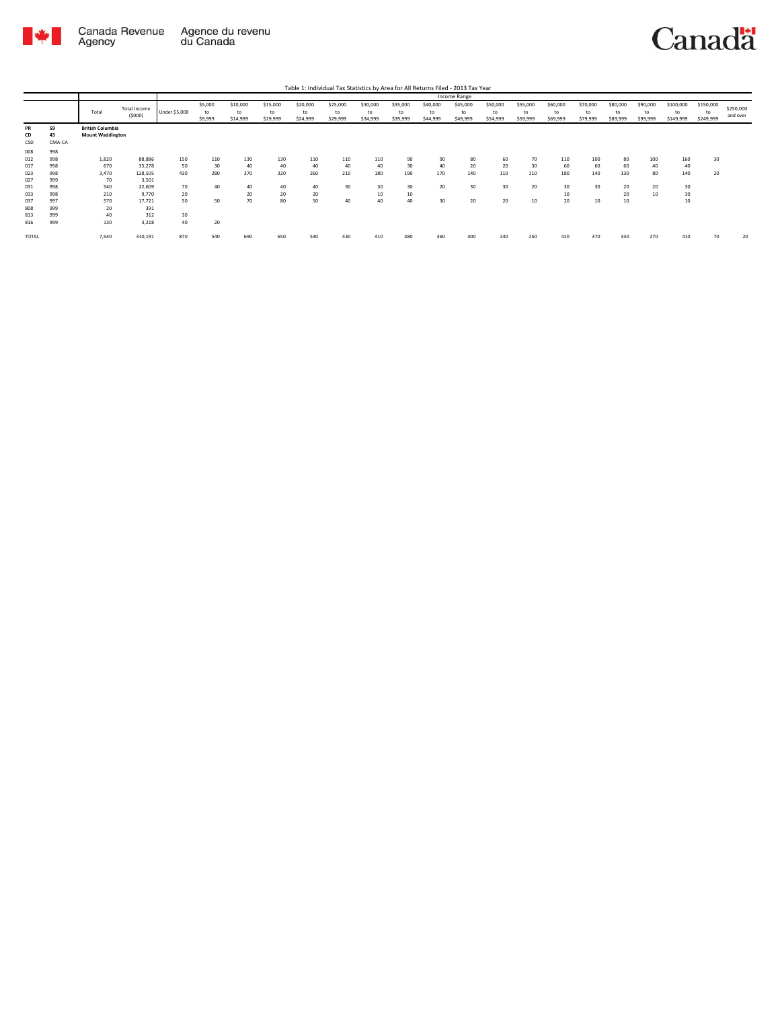

| Table 1: Individual Tax Statistics by Area for All Returns Filed - 2013 Tax Year |
|----------------------------------------------------------------------------------|
|----------------------------------------------------------------------------------|

|                 |                    |                                                    |                        |               |                          |                            |                            |                            |                            |                            |                            |                            | Income Range               |                            |                            |                            |                            |                            |                            |                              |                              |                       |
|-----------------|--------------------|----------------------------------------------------|------------------------|---------------|--------------------------|----------------------------|----------------------------|----------------------------|----------------------------|----------------------------|----------------------------|----------------------------|----------------------------|----------------------------|----------------------------|----------------------------|----------------------------|----------------------------|----------------------------|------------------------------|------------------------------|-----------------------|
|                 |                    | Total                                              | Total Income<br>(5000) | Under \$5,000 | \$5,000<br>to<br>\$9,999 | \$10,000<br>to<br>\$14,999 | \$15,000<br>to<br>\$19,999 | \$20,000<br>to<br>\$24,999 | \$25,000<br>to<br>\$29,999 | \$30,000<br>to<br>\$34,999 | \$35,000<br>to<br>\$39,999 | \$40,000<br>to<br>\$44,999 | \$45,000<br>to<br>\$49,999 | \$50,000<br>to<br>\$54,999 | \$55,000<br>to<br>\$59,999 | \$60,000<br>to<br>\$69,999 | \$70,000<br>to<br>\$79,999 | \$80,000<br>to<br>\$89,999 | \$90,000<br>to<br>\$99,999 | \$100,000<br>to<br>\$149,999 | \$150,000<br>to<br>\$249,999 | \$250,000<br>and over |
| PR<br>CD<br>CSD | 59<br>43<br>CMA-CA | <b>British Columbia</b><br><b>Mount Waddington</b> |                        |               |                          |                            |                            |                            |                            |                            |                            |                            |                            |                            |                            |                            |                            |                            |                            |                              |                              |                       |
| 008             | 998                |                                                    |                        |               |                          |                            |                            |                            |                            |                            |                            |                            |                            |                            |                            |                            |                            |                            |                            |                              |                              |                       |
| 012             | 998                | 1,820                                              | 88,886                 | 150           | 110                      | 130                        | 130                        | 110                        | 110                        | 110                        | 90                         | 90                         | 80                         | 60                         | 70                         | 110                        | 100                        | 80                         | 100                        | 160                          | 30                           |                       |
| 017             | 998                | 670                                                | 35,278                 | 50            | 30                       | 40                         | 40                         | 40                         | 40                         | 40                         | 30                         | 40                         | 20                         | 20                         | 30                         | 60                         | 60                         | 60                         | 40                         | 40                           |                              |                       |
| 023             | 998                | 3.470                                              | 128,505                | 430           | 280                      | 370                        | 320                        | 260                        | 210                        | 180                        | 190                        | 170                        | 140                        | 110                        | 110                        | 180                        | 140                        | 130                        | 80                         | 140                          | 20                           |                       |
| 027             | 999                | 70                                                 | 3,501                  |               |                          |                            |                            |                            |                            |                            |                            |                            |                            |                            |                            |                            |                            |                            |                            |                              |                              |                       |
| 031             | 998                | 540                                                | 22,609                 | 70            | 40                       | 40                         | 40                         | 40                         | 30                         | 30                         | 30                         | 20                         | 30                         | 30                         | 20                         | 30                         | 30                         | 20                         | 20                         | 30                           |                              |                       |
| 033             | 998                | 210                                                | 9.770                  | 20            |                          | 20                         | 20                         | 20                         |                            | 10                         | 10                         |                            |                            |                            |                            | 10                         |                            | 20                         | 10                         | 30                           |                              |                       |
| 037             | 997                | 570                                                | 17,721                 | 50            | 50                       | 70                         | 80                         | 50                         | 40                         | 40                         | 40                         | 30                         | 20                         | 20                         | 10                         | 20                         | 10                         | 10                         |                            | 10                           |                              |                       |
| 808             | 999                | 20                                                 | 391                    |               |                          |                            |                            |                            |                            |                            |                            |                            |                            |                            |                            |                            |                            |                            |                            |                              |                              |                       |
| 813             | 999                | 40                                                 | 312                    | 30            |                          |                            |                            |                            |                            |                            |                            |                            |                            |                            |                            |                            |                            |                            |                            |                              |                              |                       |
| 816             | 999                | 130                                                | 3,218                  | 40            | 20                       |                            |                            |                            |                            |                            |                            |                            |                            |                            |                            |                            |                            |                            |                            |                              |                              |                       |
| TOTAL           |                    | 7,540                                              | 310,191                | 870           | 540                      | 690                        | 650                        | 530                        | 430                        | 410                        | 380                        | 360                        | 300                        | 240                        | 250                        | 420                        | 370                        | 330                        | 270                        | 410                          | 70                           | 20                    |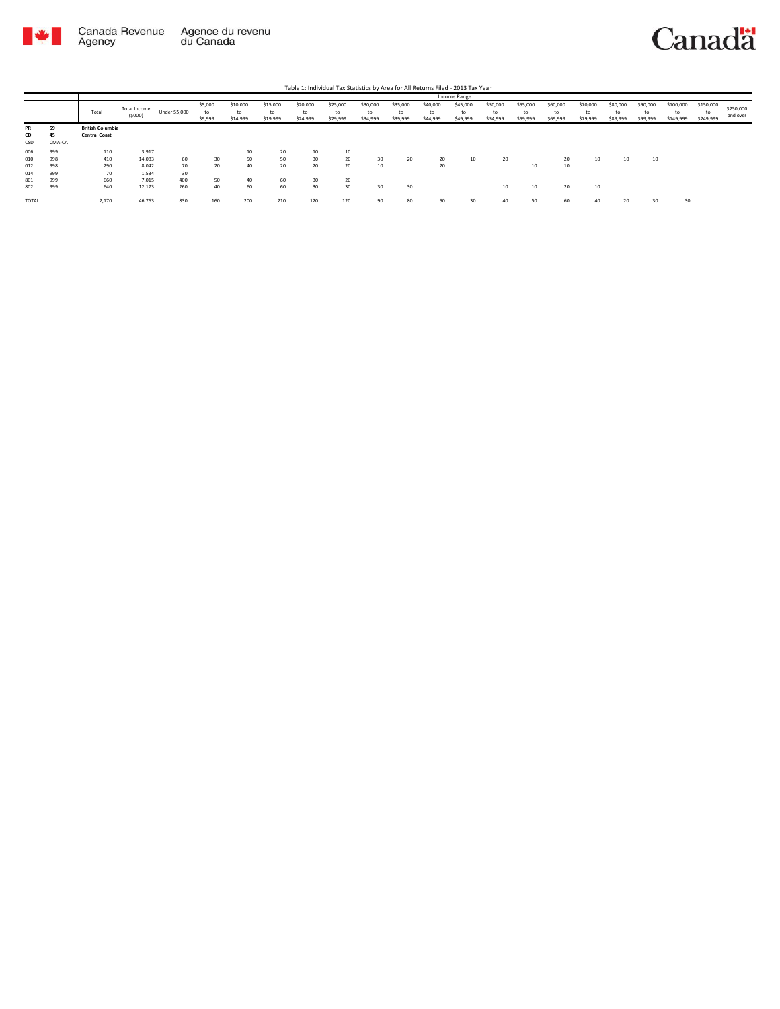

|       |        |                         |                        |                      |                          |                            |                            |                            |                            |                            |                            |                            | Income Range               |                            |                            |                            |                            |                            |                            |                              |                              |                       |
|-------|--------|-------------------------|------------------------|----------------------|--------------------------|----------------------------|----------------------------|----------------------------|----------------------------|----------------------------|----------------------------|----------------------------|----------------------------|----------------------------|----------------------------|----------------------------|----------------------------|----------------------------|----------------------------|------------------------------|------------------------------|-----------------------|
|       |        | Total                   | Total Income<br>(5000) | <b>Under \$5,000</b> | \$5,000<br>to<br>\$9,999 | \$10,000<br>to<br>\$14,999 | \$15,000<br>to<br>\$19,999 | \$20,000<br>to<br>\$24,999 | \$25,000<br>to<br>\$29,999 | \$30,000<br>to<br>\$34,999 | \$35,000<br>to<br>\$39,999 | \$40,000<br>to<br>\$44,999 | \$45,000<br>to<br>\$49,999 | \$50,000<br>to<br>\$54,999 | \$55,000<br>to<br>\$59,999 | \$60,000<br>to<br>\$69,999 | \$70,000<br>to<br>\$79,999 | \$80,000<br>to<br>\$89,999 | \$90,000<br>to<br>\$99,999 | \$100,000<br>to<br>\$149,999 | \$150,000<br>to<br>\$249,999 | \$250,000<br>and over |
| PR    | 59     | <b>British Columbia</b> |                        |                      |                          |                            |                            |                            |                            |                            |                            |                            |                            |                            |                            |                            |                            |                            |                            |                              |                              |                       |
| CD    | 45     | <b>Central Coast</b>    |                        |                      |                          |                            |                            |                            |                            |                            |                            |                            |                            |                            |                            |                            |                            |                            |                            |                              |                              |                       |
| CSD   | CMA-CA |                         |                        |                      |                          |                            |                            |                            |                            |                            |                            |                            |                            |                            |                            |                            |                            |                            |                            |                              |                              |                       |
| 006   | 999    | 110                     | 3,917                  |                      |                          | 10                         | 20                         | 10                         | 10                         |                            |                            |                            |                            |                            |                            |                            |                            |                            |                            |                              |                              |                       |
| 010   | 998    | 410                     | 14,083                 | 60                   | 30                       | 50                         | 50                         | 30                         | 20                         | 30                         | 20                         | 20                         | 10                         | 20                         |                            | 20                         | 10                         | 10                         | 10                         |                              |                              |                       |
| 012   | 998    | 290                     | 8,042                  | 70                   | 20                       | 40                         | 20                         | 20                         | 20                         | 10                         |                            | 20                         |                            |                            | 10                         | 10                         |                            |                            |                            |                              |                              |                       |
| 014   | 999    | 70                      | 1,534                  | 30                   |                          |                            |                            |                            |                            |                            |                            |                            |                            |                            |                            |                            |                            |                            |                            |                              |                              |                       |
| 801   | 999    | 660                     | 7,015                  | 400                  | 50                       | 40                         | 60                         | 30                         | 20                         |                            |                            |                            |                            |                            |                            |                            |                            |                            |                            |                              |                              |                       |
| 802   | 999    | 640                     | 12,173                 | 260                  | 40                       | 60                         | 60                         | 30                         | 30                         | 30                         | 30                         |                            |                            | 10                         | 10                         | 20                         | 10                         |                            |                            |                              |                              |                       |
| TOTAL |        | 2,170                   | 46,763                 | 830                  | 160                      | 200                        | 210                        | 120                        | 120                        | 90                         | 80                         | 50                         | 30                         | 40                         | 50                         | 60                         | 40                         | 20                         | 30                         | 30                           |                              |                       |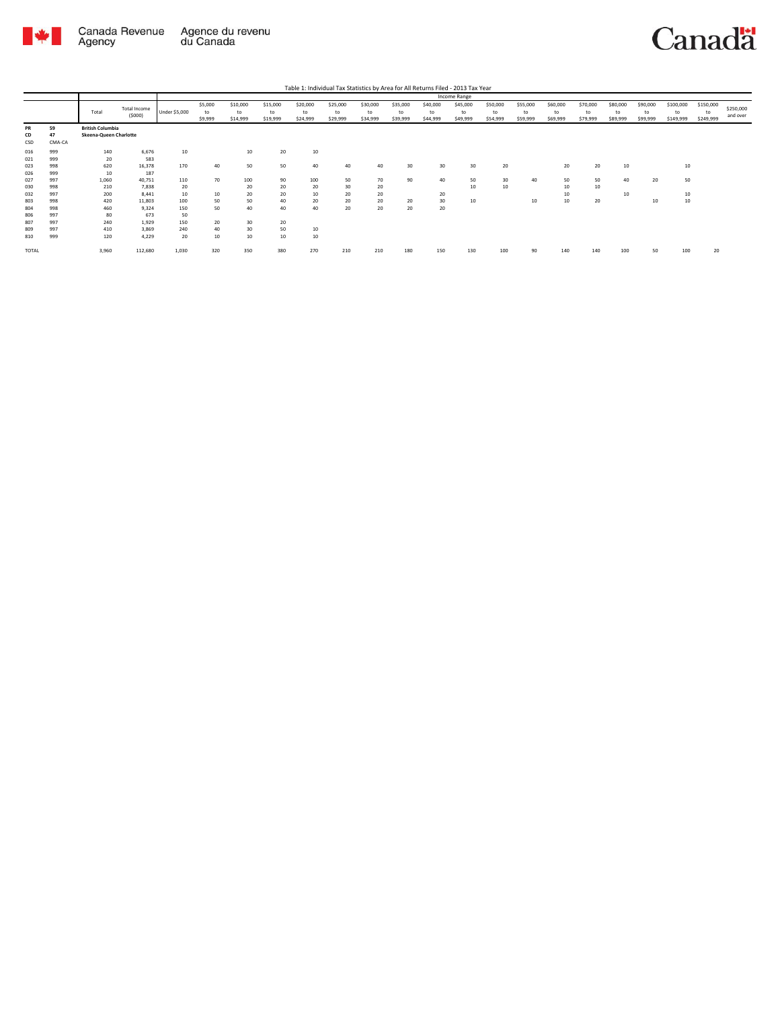

|                 |                    |                                                   |                               |               |                          |                            |                            |                            |                            |                            |                            |                            | Income Range               |                            |                            |                            |                            |                            |                            |                              |                              |                       |
|-----------------|--------------------|---------------------------------------------------|-------------------------------|---------------|--------------------------|----------------------------|----------------------------|----------------------------|----------------------------|----------------------------|----------------------------|----------------------------|----------------------------|----------------------------|----------------------------|----------------------------|----------------------------|----------------------------|----------------------------|------------------------------|------------------------------|-----------------------|
|                 |                    | Total                                             | <b>Total Income</b><br>(5000) | Under \$5,000 | \$5,000<br>to<br>\$9,999 | \$10,000<br>to<br>\$14,999 | \$15,000<br>to<br>\$19,999 | \$20,000<br>to<br>\$24,999 | \$25,000<br>to<br>\$29,999 | \$30,000<br>to<br>\$34,999 | \$35,000<br>to<br>\$39,999 | \$40,000<br>to<br>\$44,999 | \$45,000<br>to<br>\$49,999 | \$50,000<br>to<br>\$54,999 | \$55,000<br>to<br>\$59,999 | \$60,000<br>to<br>\$69,999 | \$70,000<br>to<br>\$79,999 | \$80,000<br>to<br>\$89,999 | \$90,000<br>to<br>\$99,999 | \$100,000<br>to<br>\$149,999 | \$150,000<br>to<br>\$249,999 | \$250,000<br>and over |
| PR<br>CD<br>CSD | 59<br>47<br>CMA-CA | <b>British Columbia</b><br>Skeena-Queen Charlotte |                               |               |                          |                            |                            |                            |                            |                            |                            |                            |                            |                            |                            |                            |                            |                            |                            |                              |                              |                       |
| 016<br>021      | 999<br>999         | 140<br>20                                         | 6,676<br>583                  | 10            |                          | 10                         | 20                         | 10                         |                            |                            |                            |                            |                            |                            |                            |                            |                            |                            |                            |                              |                              |                       |
| 023<br>026      | 998<br>999         | 620<br>10                                         | 16,378<br>187                 | 170           | 40                       | 50                         | 50                         | 40                         | 40                         | 40                         | 30                         | 30                         | 30                         | 20                         |                            | 20                         | 20                         | 10                         |                            | 10                           |                              |                       |
| 027<br>030      | 997<br>998         | 1,060<br>210                                      | 40,751<br>7,838               | 110<br>20     | 70                       | 100<br>20                  | 90<br>20                   | 100<br>20                  | 50<br>30                   | 70<br>20                   | 90                         | 40                         | 50<br>10                   | 30<br>10                   | 40                         | 50<br>10                   | 50<br>10                   | 40                         | 20                         | 50                           |                              |                       |
| 032<br>803      | 997<br>998         | 200<br>420                                        | 8.441<br>11,803               | 10<br>100     | 10<br>50                 | 20<br>50                   | 20<br>40                   | 10<br>20                   | 20<br>20                   | 20<br>20                   | 20                         | 20<br>30                   | 10                         |                            | 10                         | 10<br>10                   | 20                         | 10                         | 10                         | 10<br>10                     |                              |                       |
| 804<br>806      | 998<br>997         | 460<br>80                                         | 9,324<br>673                  | 150<br>50     | 50                       | 40                         | 40                         | 40                         | 20                         | 20                         | 20                         | 20                         |                            |                            |                            |                            |                            |                            |                            |                              |                              |                       |
| 807             | 997                | 240                                               | 1,929                         | 150           | 20                       | 30                         | 20                         |                            |                            |                            |                            |                            |                            |                            |                            |                            |                            |                            |                            |                              |                              |                       |
| 809<br>810      | 997<br>999         | 410<br>120                                        | 3,869<br>4.229                | 240<br>20     | 40<br>10                 | 30<br>10                   | 50<br>$10\,$               | 10<br>10                   |                            |                            |                            |                            |                            |                            |                            |                            |                            |                            |                            |                              |                              |                       |
| TOTAL           |                    | 3,960                                             | 112,680                       | 1,030         | 320                      | 350                        | 380                        | 270                        | 210                        | 210                        | 180                        | 150                        | 130                        | 100                        | 90                         | 140                        | 140                        | 100                        | 50                         | 100                          | 20                           |                       |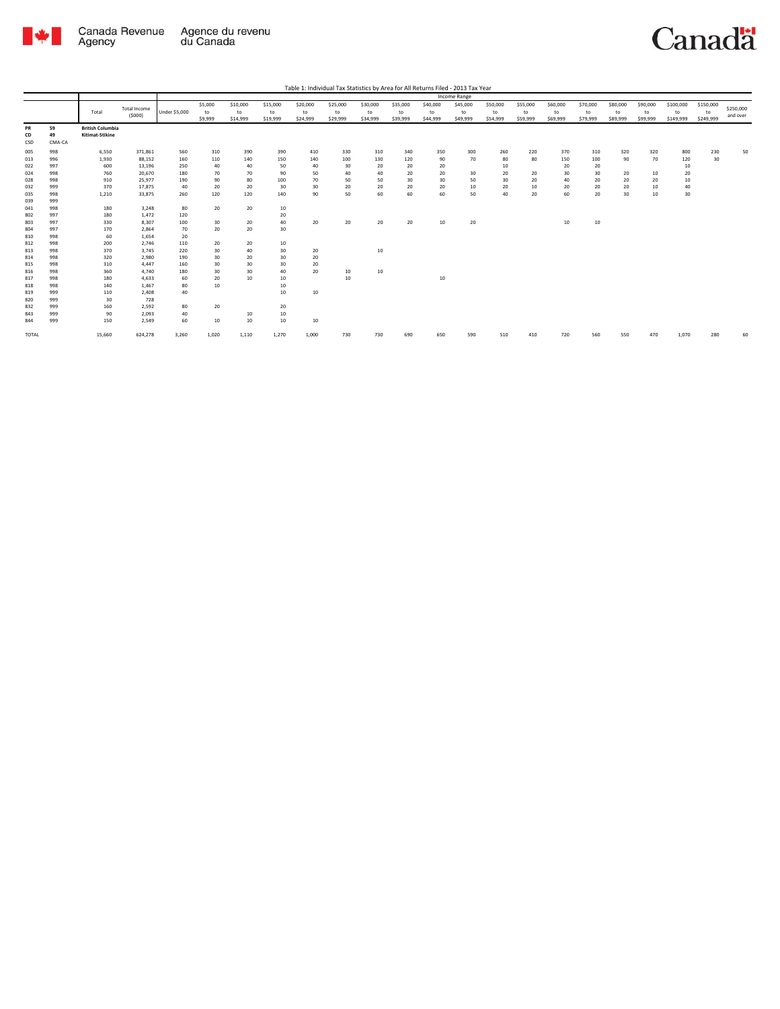

|                 |                    |                                            |                     |                      |               |                |                |                |                |                |                |                | <b>Income Range</b> |                |                |                |                |                |                |                 |                 |           |
|-----------------|--------------------|--------------------------------------------|---------------------|----------------------|---------------|----------------|----------------|----------------|----------------|----------------|----------------|----------------|---------------------|----------------|----------------|----------------|----------------|----------------|----------------|-----------------|-----------------|-----------|
|                 |                    | Total                                      | <b>Total Income</b> | <b>Under \$5,000</b> | \$5,000       | \$10,000       | \$15,000       | \$20,000       | \$25,000       | \$30,000       | \$35,000       | \$40,000       | \$45,000            | \$50,000       | \$55,000       | \$60,000       | \$70,000       | \$80,000       | \$90,000       | \$100,000       | \$150,000       | \$250,000 |
|                 |                    |                                            | (5000)              |                      | to<br>\$9,999 | to<br>\$14,999 | to<br>\$19,999 | to<br>\$24,999 | to<br>\$29,999 | to<br>\$34,999 | to<br>\$39,999 | to<br>\$44,999 | to<br>\$49,999      | to<br>\$54,999 | to<br>\$59,999 | to<br>\$69,999 | to<br>\$79,999 | to<br>\$89,999 | to<br>\$99,999 | to<br>\$149,999 | to<br>\$249,999 | and over  |
| PR<br>CD<br>CSD | 59<br>49<br>CMA-CA | <b>British Columbia</b><br>Kitimat-Stikine |                     |                      |               |                |                |                |                |                |                |                |                     |                |                |                |                |                |                |                 |                 |           |
| 005             | 998                | 6,550                                      | 371,861             | 560                  | 310           | 390            | 390            | 410            | 330            | 310            | 340            | 350            | 300                 | 260            | 220            | 370            | 310            | 320            | 320            | 800             | 230             | 50        |
| 013             | 996                | 1,930                                      | 88,152              | 160                  | 110           | 140            | 150            | 140            | 100            | 130            | 120            | 90             | 70                  | 80             | 80             | 150            | 100            | 90             | 70             | 120             | 30              |           |
| 022             | 997                | 600                                        | 13,196              | 250                  | 40            | 40             | 50             | 40             | 30             | 20             | 20             | 20             |                     | 10             |                | 20             | 20             |                |                | 10              |                 |           |
| 024             | 998                | 760                                        | 20,670              | 180                  | 70            | 70             | 90             | 50             | 40             | 40             | 20             | 20             | 30                  | 20             | 20             | 30             | 30             | 20             | 10             | 20              |                 |           |
| 028             | 998                | 910                                        | 25.977              | 190                  | 90            | 80             | 100            | 70             | 50             | 50             | 30             | 30             | 50                  | 30             | 20             | 40             | 20             | 20             | 20             | 10              |                 |           |
| 032             | 999                | 370                                        | 17,875              | 40                   | 20            | 20             | 30             | 30             | 20             | 20             | 20             | 20             | 10                  | 20             | 10             | 20             | 20             | 20             | 10             | 40              |                 |           |
| 035             | 998                | 1,210                                      | 33,875              | 260                  | 120           | 120            | 140            | 90             | 50             | 60             | 60             | 60             | 50                  | 40             | 20             | 60             | 20             | 30             | 10             | 30              |                 |           |
| 039             | 999                |                                            |                     |                      |               |                |                |                |                |                |                |                |                     |                |                |                |                |                |                |                 |                 |           |
| 041             | 998                | 180                                        | 3,248               | 80                   | 20            | 20             | 10             |                |                |                |                |                |                     |                |                |                |                |                |                |                 |                 |           |
| 802             | 997                | 180                                        | 1,472               | 120                  |               |                | 20             |                |                |                |                |                |                     |                |                |                |                |                |                |                 |                 |           |
| 803             | 997                | 330                                        | 8,307               | 100                  | 30            | 20             | 40             | 20             | 20             | 20             | 20             | 10             | 20                  |                |                | 10             | 10             |                |                |                 |                 |           |
| 804             | 997                | 170                                        | 2,864               | 70                   | 20            | 20             | 30             |                |                |                |                |                |                     |                |                |                |                |                |                |                 |                 |           |
| 810             | 998                | 60                                         | 1,654               | 20                   |               |                |                |                |                |                |                |                |                     |                |                |                |                |                |                |                 |                 |           |
| 812             | 998                | 200                                        | 2,746               | 110                  | 20            | 20             | 10             |                |                |                |                |                |                     |                |                |                |                |                |                |                 |                 |           |
| 813             | 998                | 370                                        | 3,745               | 220                  | 30            | 40             | 30             | 20             |                | 10             |                |                |                     |                |                |                |                |                |                |                 |                 |           |
| 814             | 998                | 320                                        | 2,980               | 190                  | 30            | 20             | 30             | 20             |                |                |                |                |                     |                |                |                |                |                |                |                 |                 |           |
| 815             | 998                | 310                                        | 4,447               | 160                  | 30            | 30             | 30             | 20             |                |                |                |                |                     |                |                |                |                |                |                |                 |                 |           |
| 816             | 998                | 360                                        | 4,740               | 180                  | 30            | 30             | 40             | 20             | 10             | 10             |                |                |                     |                |                |                |                |                |                |                 |                 |           |
| 817             | 998                | 180                                        | 4,633               | 60                   | 20            | 10             | 10             |                | 10             |                |                | 10             |                     |                |                |                |                |                |                |                 |                 |           |
| 818             | 998                | 140                                        | 1,467               | 80                   | 10            |                | 10             |                |                |                |                |                |                     |                |                |                |                |                |                |                 |                 |           |
| 819             | 999                | 110                                        | 2,408               | 40                   |               |                | 10             | 10             |                |                |                |                |                     |                |                |                |                |                |                |                 |                 |           |
| 820             | 999                | 30                                         | 728                 |                      |               |                |                |                |                |                |                |                |                     |                |                |                |                |                |                |                 |                 |           |
| 832             | 999                | 160                                        | 2,592               | 80                   | 20            |                | 20             |                |                |                |                |                |                     |                |                |                |                |                |                |                 |                 |           |
| 843             | 999                | 90                                         | 2,093               | 40                   |               | 10             | 10             |                |                |                |                |                |                     |                |                |                |                |                |                |                 |                 |           |
| 844             | 999                | 150                                        | 2,549               | 60                   | 10            | 10             | 10             | 10             |                |                |                |                |                     |                |                |                |                |                |                |                 |                 |           |
| <b>TOTAL</b>    |                    | 15,660                                     | 624,278             | 3,260                | 1,020         | 1,110          | 1,270          | 1,000          | 730            | 730            | 690            | 650            | 590                 | 510            | 410            | 720            | 560            | 550            | 470            | 1,070           | 280             | 60        |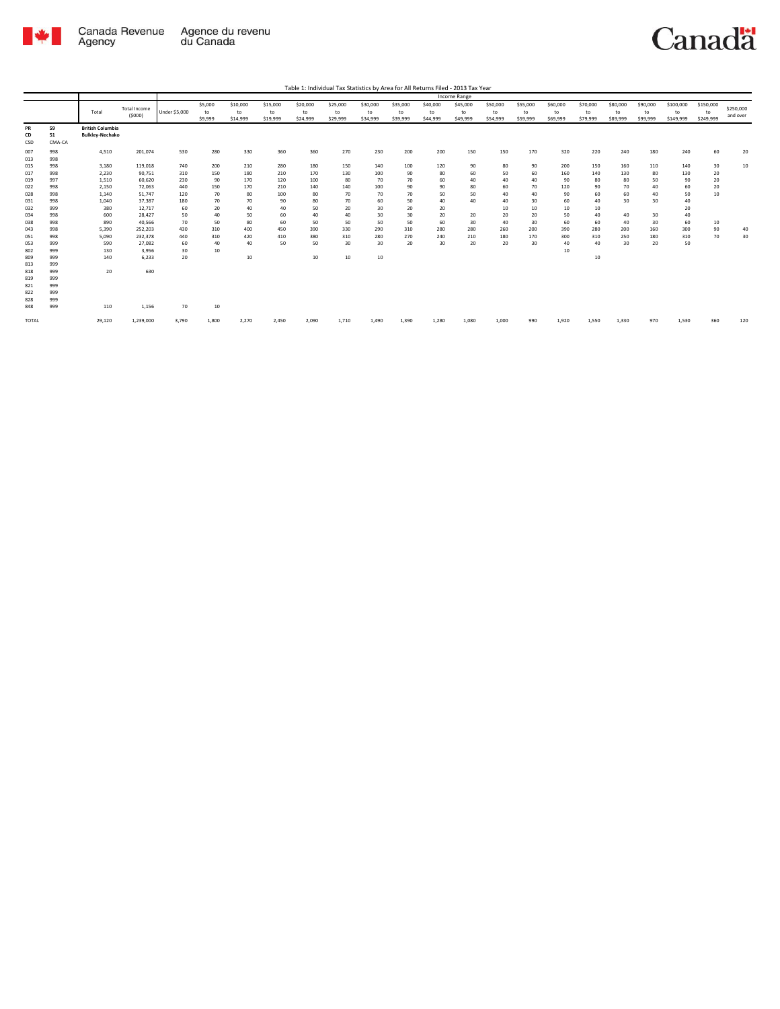

|           |        |                         |                     |                      |         |          |          |          |          |          |          |          | Income Range |          |          |          |          |          |          |           |           |           |
|-----------|--------|-------------------------|---------------------|----------------------|---------|----------|----------|----------|----------|----------|----------|----------|--------------|----------|----------|----------|----------|----------|----------|-----------|-----------|-----------|
|           |        |                         | <b>Total Income</b> |                      | \$5,000 | \$10,000 | \$15,000 | \$20,000 | \$25,000 | \$30,000 | \$35,000 | \$40,000 | \$45,000     | \$50,000 | \$55,000 | \$60,000 | \$70,000 | \$80,000 | \$90,000 | \$100,000 | \$150,000 | \$250,000 |
|           |        | Total                   | (5000)              | <b>Under \$5,000</b> | to      | to       | to       | to       | to       | to       | to       | to       | to           | to       | to       | to       | to       | to       | to       | to        | to        | and over  |
|           |        |                         |                     |                      | \$9,999 | \$14,999 | \$19,999 | \$24,999 | \$29,999 | \$34,999 | \$39,999 | \$44,999 | \$49,999     | \$54,999 | \$59,999 | \$69,999 | \$79,999 | \$89,999 | \$99,999 | \$149,999 | \$249,999 |           |
| <b>PR</b> | 59     | <b>British Columbia</b> |                     |                      |         |          |          |          |          |          |          |          |              |          |          |          |          |          |          |           |           |           |
| CD        | 51     | <b>Bulkley-Nechako</b>  |                     |                      |         |          |          |          |          |          |          |          |              |          |          |          |          |          |          |           |           |           |
| CSD       | CMA-CA |                         |                     |                      |         |          |          |          |          |          |          |          |              |          |          |          |          |          |          |           |           |           |
| 007       | 998    | 4,510                   | 201,074             | 530                  | 280     | 330      | 360      | 360      | 270      | 230      | 200      | 200      | 150          | 150      | 170      | 320      | 220      | 240      | 180      | 240       | 60        | 20        |
| 013       | 998    |                         |                     |                      |         |          |          |          |          |          |          |          |              |          |          |          |          |          |          |           |           |           |
| 015       | 998    | 3,180                   | 119,018             | 740                  | 200     | 210      | 280      | 180      | 150      | 140      | 100      | 120      | 90           | 80       | 90       | 200      | 150      | 160      | 110      | 140       | 30        | 10        |
| 017       | 998    | 2.230                   | 90.751              | 310                  | 150     | 180      | 210      | 170      | 130      | 100      | 90       | 80       | 60           | 50       | 60       | 160      | 140      | 130      | 80       | 130       | 20        |           |
| 019       | 997    | 1,510                   | 60,620              | 230                  | 90      | 170      | 120      | 100      | 80       | 70       | 70       | 60       | 40           | 40       | 40       | 90       | 80       | 80       | 50       | 90        | 20        |           |
| 022       | 998    | 2,150                   | 72,063              | 440                  | 150     | 170      | 210      | 140      | 140      | 100      | 90       | 90       | 80           | 60       | 70       | 120      | 90       | 70       | 40       | 60        | 20        |           |
| 028       | 998    | 1,140                   | 51,747              | 120                  | 70      | 80       | 100      | 80       | 70       | 70       | 70       | 50       | 50           | 40       | 40       | 90       | 60       | 60       | 40       | 50        | 10        |           |
| 031       | 998    | 1,040                   | 37,387              | 180                  | 70      | 70       | 90       | 80       | 70       | 60       | 50       | 40       | 40           | 40       | 30       | 60       | 40       | 30       | 30       | 40        |           |           |
| 032       | 999    | 380                     | 12,717              | 60                   | 20      | 40       | 40       | 50       | 20       | 30       | 20       | 20       |              | 10       | 10       | 10       | 10       |          |          | 20        |           |           |
| 034       | 998    | 600                     | 28,427              | 50                   | 40      | 50       | 60       | 40       | 40       | 30       | 30       | 20       | 20           | 20       | 20       | 50       | 40       | 40       | 30       | 40        |           |           |
| 038       | 998    | 890                     | 40,566              | 70                   | 50      | 80       | 60       | 50       | 50       | 50       | 50       | 60       | 30           | 40       | 30       | 60       | 60       | 40       | 30       | 60        | 10        |           |
| 043       | 998    | 5,390                   | 252,203             | 430                  | 310     | 400      | 450      | 390      | 330      | 290      | 310      | 280      | 280          | 260      | 200      | 390      | 280      | 200      | 160      | 300       | 90        | 40        |
| 051       | 998    | 5,090                   | 232,378             | 440                  | 310     | 420      | 410      | 380      | 310      | 280      | 270      | 240      | 210          | 180      | 170      | 300      | 310      | 250      | 180      | 310       | 70        | 30        |
| 053       | 999    | 590                     | 27.082              | 60                   | 40      | 40       | 50       | 50       | 30       | 30       | 20       | 30       | 20           | 20       | 30       | 40       | 40       | 30       | 20       | 50        |           |           |
| 802       | 999    | 130                     | 3,956               | 30                   | 10      |          |          |          |          |          |          |          |              |          |          | 10       |          |          |          |           |           |           |
| 809       | 999    | 140                     | 6,233               | 20                   |         | 10       |          | 10       | 10       | $10\,$   |          |          |              |          |          |          | $10\,$   |          |          |           |           |           |
| 813       | 999    |                         |                     |                      |         |          |          |          |          |          |          |          |              |          |          |          |          |          |          |           |           |           |
| 818       | 999    | 20                      | 630                 |                      |         |          |          |          |          |          |          |          |              |          |          |          |          |          |          |           |           |           |
| 819       | 999    |                         |                     |                      |         |          |          |          |          |          |          |          |              |          |          |          |          |          |          |           |           |           |
| 821       | 999    |                         |                     |                      |         |          |          |          |          |          |          |          |              |          |          |          |          |          |          |           |           |           |
| 822       | 999    |                         |                     |                      |         |          |          |          |          |          |          |          |              |          |          |          |          |          |          |           |           |           |
| 828       | 999    |                         |                     |                      |         |          |          |          |          |          |          |          |              |          |          |          |          |          |          |           |           |           |
| 848       | 999    | 110                     | 1,156               | 70                   | 10      |          |          |          |          |          |          |          |              |          |          |          |          |          |          |           |           |           |
| TOTAL     |        | 29,120                  | 1,239,000           | 3,790                | 1,800   | 2,270    | 2,450    | 2,090    | 1,710    | 1,490    | 1,390    | 1,280    | 1,080        | 1,000    | 990      | 1,920    | 1,550    | 1,330    | 970      | 1,530     | 360       | 120       |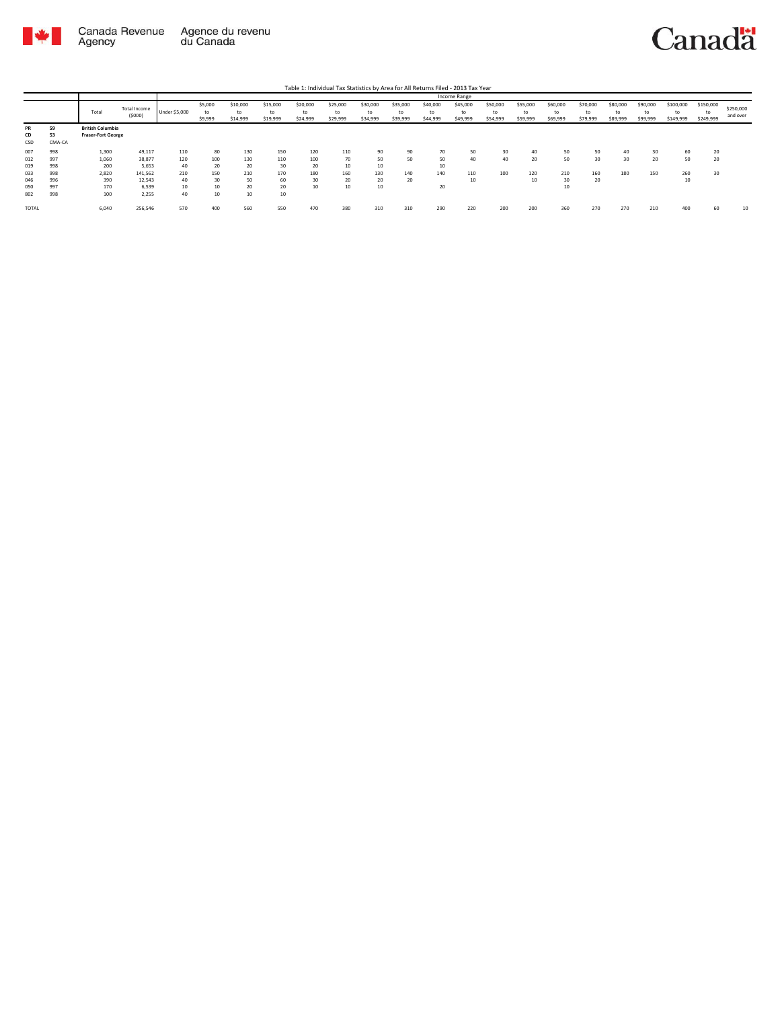

|       |        |                           |              |               |         |          |          |          |          |          |          |          | Income Range |          |          |          |          |          |          |           |           |           |
|-------|--------|---------------------------|--------------|---------------|---------|----------|----------|----------|----------|----------|----------|----------|--------------|----------|----------|----------|----------|----------|----------|-----------|-----------|-----------|
|       |        |                           | Total Income |               | \$5,000 | \$10,000 | \$15,000 | \$20,000 | \$25,000 | \$30,000 | \$35,000 | \$40,000 | \$45,000     | \$50,000 | \$55,000 | \$60,000 | \$70,000 | \$80,000 | \$90,000 | \$100,000 | \$150,000 | \$250,000 |
|       |        | Total                     | (5000)       | Under \$5,000 | to      | to       | to       | to       | to       | to       | to       | to       | to           | to       | to       | to       | to       | to       | to       |           |           | and over  |
|       |        |                           |              |               | \$9,999 | \$14,999 | \$19,999 | \$24,999 | \$29,999 | \$34,999 | \$39,999 | \$44,999 | \$49,999     | \$54,999 | \$59,999 | \$69,999 | \$79,999 | \$89,999 | \$99,999 | \$149,999 | \$249,999 |           |
| PR    | 59     | <b>British Columbia</b>   |              |               |         |          |          |          |          |          |          |          |              |          |          |          |          |          |          |           |           |           |
| CD    | 53     | <b>Fraser-Fort George</b> |              |               |         |          |          |          |          |          |          |          |              |          |          |          |          |          |          |           |           |           |
| CSD   | CMA-CA |                           |              |               |         |          |          |          |          |          |          |          |              |          |          |          |          |          |          |           |           |           |
| 007   | 998    | 1,300                     | 49,117       | 110           | 80      | 130      | 150      | 120      | 110      | 90       | 90       | 70       | 50           | 30       | 40       | 50       | 50       | 40       | 30       | 60        |           |           |
| 012   | 997    | 1,060                     | 38,877       | 120           | 100     | 130      | 110      | 100      | 70       | 50       | 50       | 50       | 40           | 40       | 20       | 50       | 30       | 30       | 20       | 50        | 20        |           |
| 019   | 998    | 200                       | 5,653        | 40            | 20      | 20       | 30       | 20       | 10       | 10       |          | 10       |              |          |          |          |          |          |          |           |           |           |
| 033   | 998    | 2,820                     | 141,562      | 210           | 150     | 210      | 170      | 180      | 160      | 130      | 140      | 140      | 110          | 100      | 120      | 210      | 160      | 180      | 150      | 260       | 30        |           |
| 046   | 996    | 390                       | 12,543       | 40            | 30      | 50       | 60       | 30       | 20       | 20       | 20       |          | 10           |          | 10       | 30       | 20       |          |          | 10        |           |           |
| 050   | 997    | 170                       | 6,539        | 10            | 10      | 20       | 20       | 10       | 10       | 10       |          | 20       |              |          |          | 10       |          |          |          |           |           |           |
| 802   | 998    | 100                       | 2,255        | 40            | 10      | 10       | 10       |          |          |          |          |          |              |          |          |          |          |          |          |           |           |           |
| TOTAL |        | 6,040                     | 256,546      | 570           | 400     | 560      | 550      | 470      | 380      | 310      | 310      | 290      | 220          | 200      | 200      | 360      | 270      | 270      | 210      | 400       | 60        | 10        |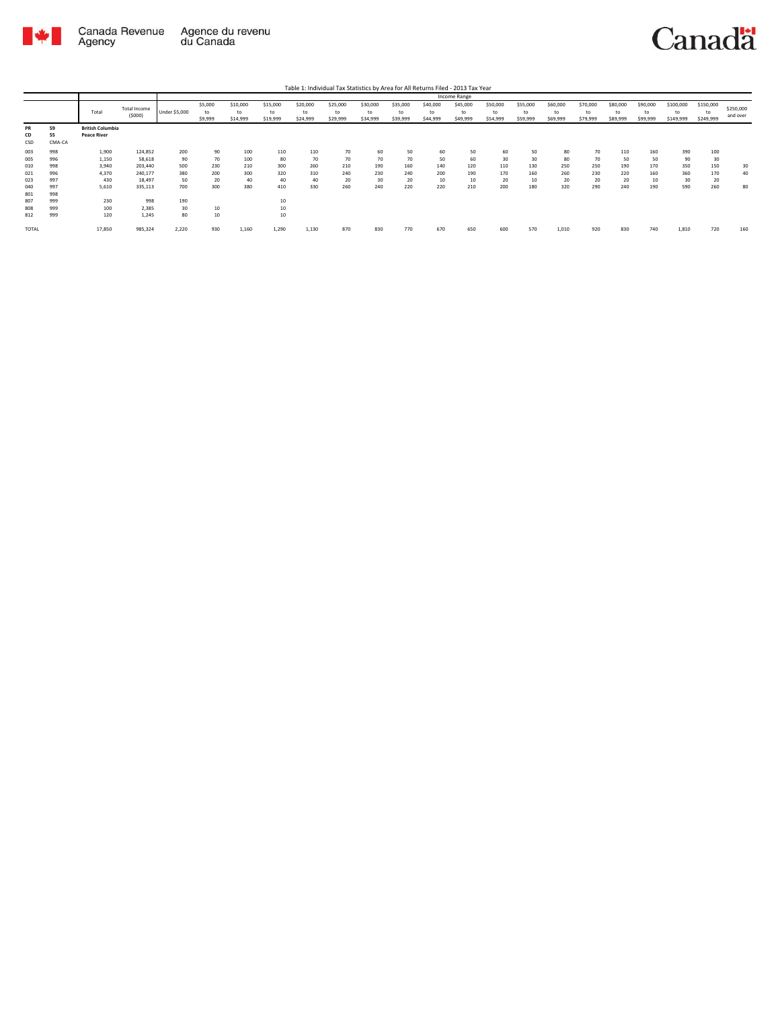

| Table 1: Individual Tax Statistics by Area for All Returns Filed - 2013 Tax Year |  |
|----------------------------------------------------------------------------------|--|
|                                                                                  |  |

|                 |                    |                                               |                        |                      |                          |                            |                            |                            |                            |                            |                            |                            | Income Range               |                            |                            |                            |                            |                            |                            |                              |                              |                       |
|-----------------|--------------------|-----------------------------------------------|------------------------|----------------------|--------------------------|----------------------------|----------------------------|----------------------------|----------------------------|----------------------------|----------------------------|----------------------------|----------------------------|----------------------------|----------------------------|----------------------------|----------------------------|----------------------------|----------------------------|------------------------------|------------------------------|-----------------------|
|                 |                    | Total                                         | Total Income<br>(5000) | <b>Under \$5,000</b> | \$5,000<br>to<br>\$9,999 | \$10,000<br>to<br>\$14,999 | \$15,000<br>to<br>\$19,999 | \$20,000<br>to<br>\$24,999 | \$25,000<br>to<br>\$29,999 | \$30,000<br>to<br>\$34,999 | \$35,000<br>to<br>\$39,999 | \$40,000<br>to<br>\$44,999 | \$45,000<br>to<br>\$49,999 | \$50,000<br>to<br>\$54,999 | \$55,000<br>to<br>\$59,999 | \$60,000<br>to<br>\$69,999 | \$70,000<br>to<br>\$79,999 | \$80,000<br>to<br>\$89,999 | \$90,000<br>to<br>\$99,999 | \$100,000<br>to<br>\$149,999 | \$150,000<br>to<br>\$249,999 | \$250,000<br>and over |
| PR<br>CD<br>CSD | 59<br>55<br>CMA-CA | <b>British Columbia</b><br><b>Peace River</b> |                        |                      |                          |                            |                            |                            |                            |                            |                            |                            |                            |                            |                            |                            |                            |                            |                            |                              |                              |                       |
| 003             | 998                | 1,900                                         | 124,852                | 200                  | 90                       | 100                        | 110                        | 110                        | 70                         | 60                         | 50                         | 60                         | 50                         | 60                         | 50                         | 80                         | 70                         | 110                        | 160                        | 390                          | 100                          |                       |
| 005             | 996                | 1,150                                         | 58,618                 | 90                   | 70                       | 100                        | 80                         | 70                         | 70                         | 70                         | 70                         | 50                         | 60                         | 30                         | 30                         | 80                         | 70                         | 50                         | 50                         | 90                           | 30                           |                       |
| 010             | 998                | 3,940                                         | 203,440                | 500                  | 230                      | 210                        | 300                        | 260                        | 210                        | 190                        | 160                        | 140                        | 120                        | 110                        | 130                        | 250                        | 250                        | 190                        | 170                        | 350                          | 150                          | 30                    |
| 021             | 996                | 4,370                                         | 240,177                | 380                  | 200                      | 300                        | 320                        | 310                        | 240                        | 230                        | 240                        | 200                        | 190                        | 170                        | 160                        | 260                        | 230                        | 220                        | 160                        | 360                          | 170                          | 40                    |
| 023             | 997                | 430                                           | 18,497                 | 50                   | 20                       | 40                         | 40                         | 40                         | 20                         | 30                         | 20                         | 10                         | 10                         | 20                         | 10                         | 20                         | 20                         | 20                         | 10                         | 30                           | 20                           |                       |
| 040<br>801      | 997<br>998         | 5,610                                         | 335,113                | 700                  | 300                      | 380                        | 410                        | 330                        | 260                        | 240                        | 220                        | 220                        | 210                        | 200                        | 180                        | 320                        | 290                        | 240                        | 190                        | 590                          | 260                          | 80                    |
| 807             | 999                | 230                                           | 998                    | 190                  |                          |                            | 10                         |                            |                            |                            |                            |                            |                            |                            |                            |                            |                            |                            |                            |                              |                              |                       |
| 808             | 999                | 100                                           | 2,385                  | 30                   | 10                       |                            | 10                         |                            |                            |                            |                            |                            |                            |                            |                            |                            |                            |                            |                            |                              |                              |                       |
| 812             | 999                | 120                                           | 1.245                  | 80                   | 10                       |                            | 10                         |                            |                            |                            |                            |                            |                            |                            |                            |                            |                            |                            |                            |                              |                              |                       |
| <b>TOTAL</b>    |                    | 17,850                                        | 985,324                | 2,220                | 930                      | 1,160                      | 1,290                      | 1,130                      | 870                        | 830                        | 770                        | 670                        | 650                        | 600                        | 570                        | 1,010                      | 920                        | 830                        | 740                        | 1,810                        | 720                          | 160                   |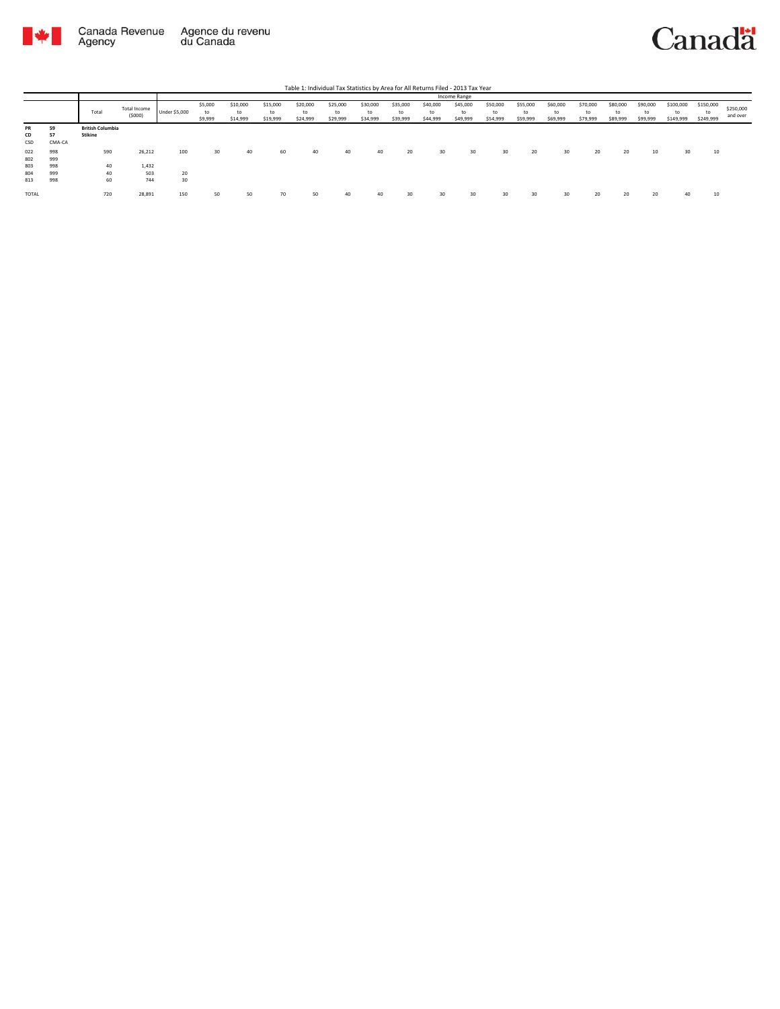

|                        |                    |                                    |                        |               |                          |                            |                            | Table 1: Individual Tax Statistics by Area for All Returns Filed - 2013 Tax Year |                            |                            |                            |                            |                            |                            |                            |                            |                            |                            |                            |                        |                        |                       |
|------------------------|--------------------|------------------------------------|------------------------|---------------|--------------------------|----------------------------|----------------------------|----------------------------------------------------------------------------------|----------------------------|----------------------------|----------------------------|----------------------------|----------------------------|----------------------------|----------------------------|----------------------------|----------------------------|----------------------------|----------------------------|------------------------|------------------------|-----------------------|
|                        |                    |                                    |                        |               |                          |                            |                            |                                                                                  |                            |                            |                            |                            | Income Range               |                            |                            |                            |                            |                            |                            |                        |                        |                       |
|                        |                    | Total                              | Total Income<br>(5000) | Under \$5,000 | \$5,000<br>to<br>\$9,999 | \$10,000<br>to<br>\$14,999 | \$15,000<br>to<br>\$19,999 | \$20,000<br>to<br>\$24,999                                                       | \$25,000<br>to<br>\$29,999 | \$30,000<br>to<br>\$34,999 | \$35,000<br>to<br>\$39,999 | \$40,000<br>to<br>\$44,999 | \$45,000<br>to<br>\$49,999 | \$50,000<br>to<br>\$54,999 | \$55,000<br>to<br>\$59,999 | \$60,000<br>to<br>\$69,999 | \$70,000<br>to<br>\$79,999 | \$80,000<br>to<br>\$89,999 | \$90,000<br>to<br>\$99,999 | \$100,000<br>\$149,999 | \$150,000<br>\$249,999 | \$250,000<br>and over |
| <b>PR</b><br>CD<br>CSD | 59<br>57<br>CMA-CA | <b>British Columbia</b><br>Stikine |                        |               |                          |                            |                            |                                                                                  |                            |                            |                            |                            |                            |                            |                            |                            |                            |                            |                            |                        |                        |                       |
| 022<br>802             | 998<br>999         | 590                                | 26,212                 | 100           | 30                       | 40                         | 60                         | 40                                                                               | 40                         | 40                         | 20                         | 30                         | 30                         | 30                         | 20                         | 30                         | 20                         | 20                         | 10                         | 30                     | 10                     |                       |
| 803                    | 998                | 40                                 | 1,432                  |               |                          |                            |                            |                                                                                  |                            |                            |                            |                            |                            |                            |                            |                            |                            |                            |                            |                        |                        |                       |
| 804                    | 999                | 40                                 | 503                    | 20            |                          |                            |                            |                                                                                  |                            |                            |                            |                            |                            |                            |                            |                            |                            |                            |                            |                        |                        |                       |
| 813                    | 998                | 60                                 | 744                    | 30            |                          |                            |                            |                                                                                  |                            |                            |                            |                            |                            |                            |                            |                            |                            |                            |                            |                        |                        |                       |
| <b>TOTAL</b>           |                    | 720                                | 28,891                 | 150           | 50                       | 50                         | 70                         | 50                                                                               | 40                         | 40                         | 30                         | 30                         | 30                         | 30                         | 30                         | 30                         | 20                         | 20                         | 20                         | 40                     | 10                     |                       |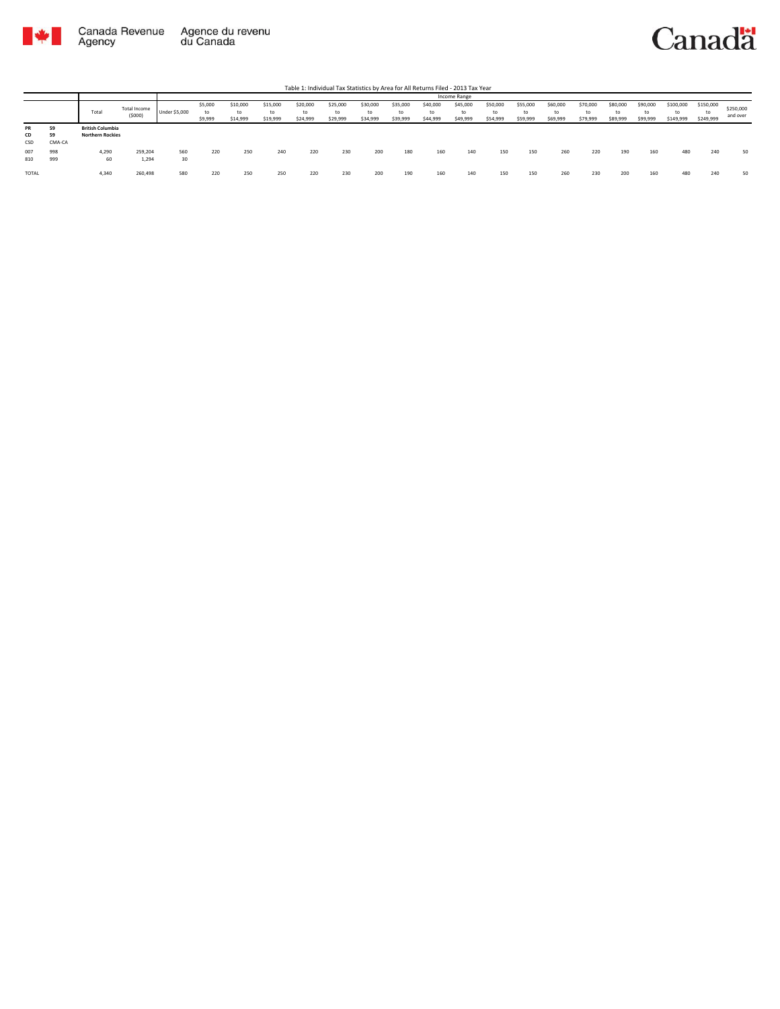

|                 |                    |                                                    |                        |               |                          |                            |                            |                            | Table 1: Individual Tax Statistics by Area for All Returns Filed - 2013 Tax Year |                            |                            |                            |                            |                            |                            |                            |                            |                            |                            |                              |                        |                       |
|-----------------|--------------------|----------------------------------------------------|------------------------|---------------|--------------------------|----------------------------|----------------------------|----------------------------|----------------------------------------------------------------------------------|----------------------------|----------------------------|----------------------------|----------------------------|----------------------------|----------------------------|----------------------------|----------------------------|----------------------------|----------------------------|------------------------------|------------------------|-----------------------|
|                 |                    |                                                    |                        |               |                          |                            |                            |                            |                                                                                  |                            |                            |                            | Income Range               |                            |                            |                            |                            |                            |                            |                              |                        |                       |
|                 |                    | Total                                              | Total Income<br>(5000) | Under \$5,000 | \$5,000<br>to<br>\$9,999 | \$10,000<br>to<br>\$14,999 | \$15,000<br>to<br>\$19,999 | \$20,000<br>to<br>\$24,999 | \$25,000<br>to<br>\$29,999                                                       | \$30,000<br>to<br>\$34,999 | \$35,000<br>to<br>\$39,999 | \$40,000<br>to<br>\$44,999 | \$45,000<br>to<br>\$49,999 | \$50,000<br>to<br>\$54,999 | \$55,000<br>to<br>\$59,999 | \$60,000<br>to<br>\$69,999 | \$70,000<br>to<br>\$79,999 | \$80,000<br>to<br>\$89,999 | \$90,000<br>to<br>\$99,999 | \$100,000<br>to<br>\$149,999 | \$150,000<br>\$249,999 | \$250,000<br>and over |
| PR<br>CD<br>CSD | 59<br>59<br>CMA-CA | <b>British Columbia</b><br><b>Northern Rockies</b> |                        |               |                          |                            |                            |                            |                                                                                  |                            |                            |                            |                            |                            |                            |                            |                            |                            |                            |                              |                        |                       |
| 007<br>810      | 998<br>999         | 4.290<br>60                                        | 259,204<br>1,294       | 560<br>30     | 220                      | 250                        | 240                        | 220                        | 230                                                                              | 200                        | 180                        | 160                        | 140                        | 150                        | 150                        | 260                        | 220                        | 190                        | 160                        | 480                          | 240                    | 50                    |
| TOTAL           |                    | 4,340                                              | 260,498                | 580           | 220                      | 250                        | 250                        | 220                        | 230                                                                              | 200                        | 190                        | 160                        | 140                        | 150                        | 150                        | 260                        | 230                        | 200                        | 160                        | 480                          | 240                    | 50                    |